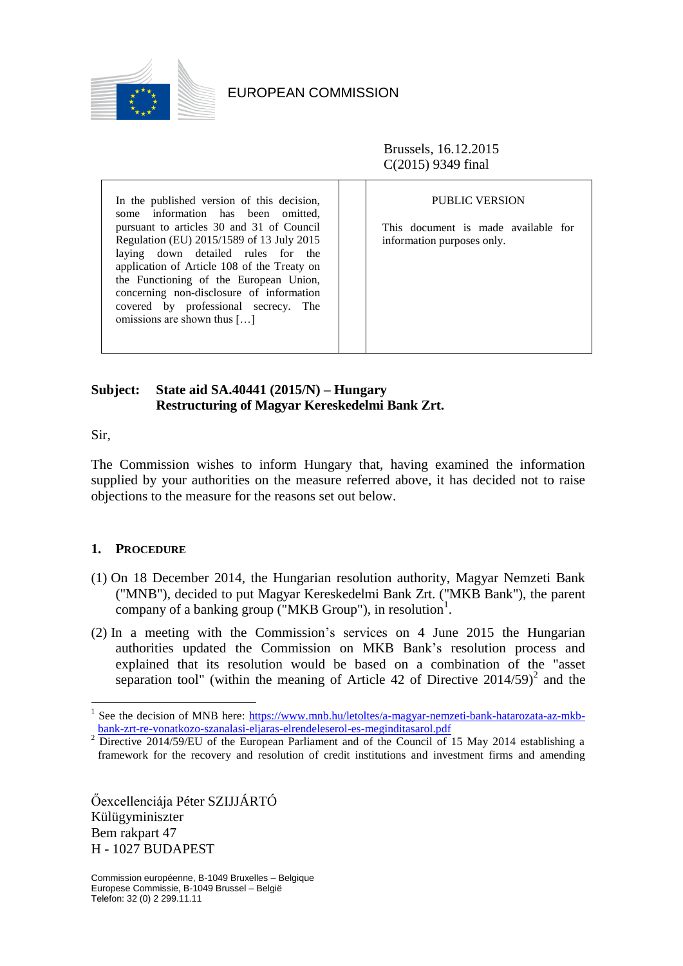

Brussels, 16.12.2015 C(2015) 9349 final

In the published version of this decision, some information has been omitted, pursuant to articles 30 and 31 of Council Regulation (EU) 2015/1589 of 13 July 2015 laying down detailed rules for the application of Article 108 of the Treaty on the Functioning of the European Union, concerning non-disclosure of information covered by professional secrecy. The omissions are shown thus […]

PUBLIC VERSION

This document is made available for information purposes only.

# **Subject: State aid SA.40441 (2015/N) – Hungary Restructuring of Magyar Kereskedelmi Bank Zrt.**

Sir,

<u>.</u>

The Commission wishes to inform Hungary that, having examined the information supplied by your authorities on the measure referred above, it has decided not to raise objections to the measure for the reasons set out below.

# **1. PROCEDURE**

- (1) On 18 December 2014, the Hungarian resolution authority, Magyar Nemzeti Bank ("MNB"), decided to put Magyar Kereskedelmi Bank Zrt. ("MKB Bank"), the parent company of a banking group ("MKB Group"), in resolution<sup>1</sup>.
- (2) In a meeting with the Commission's services on 4 June 2015 the Hungarian authorities updated the Commission on MKB Bank's resolution process and explained that its resolution would be based on a combination of the "asset separation tool" (within the meaning of Article 42 of Directive  $2014/59$ )<sup>2</sup> and the

Őexcellenciája Péter SZIJJÁRTÓ Külügyminiszter Bem rakpart 47 H - 1027 BUDAPEST

<sup>&</sup>lt;sup>1</sup> See the decision of MNB here: [https://www.mnb.hu/letoltes/a-magyar-nemzeti-bank-hatarozata-az-mkb](https://www.mnb.hu/letoltes/a-magyar-nemzeti-bank-hatarozata-az-mkb-bank-zrt-re-vonatkozo-szanalasi-eljaras-elrendeleserol-es-meginditasarol.pdf)[bank-zrt-re-vonatkozo-szanalasi-eljaras-elrendeleserol-es-meginditasarol.pdf](https://www.mnb.hu/letoltes/a-magyar-nemzeti-bank-hatarozata-az-mkb-bank-zrt-re-vonatkozo-szanalasi-eljaras-elrendeleserol-es-meginditasarol.pdf)

Directive 2014/59/EU of the European Parliament and of the Council of 15 May 2014 establishing a framework for the recovery and resolution of credit institutions and investment firms and amending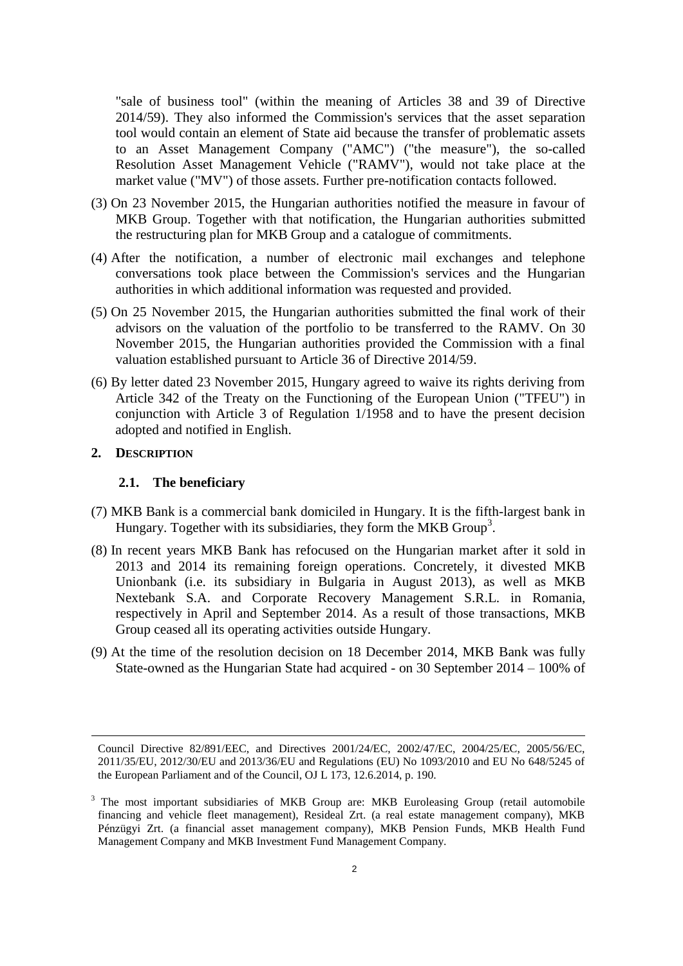"sale of business tool" (within the meaning of Articles 38 and 39 of Directive 2014/59). They also informed the Commission's services that the asset separation tool would contain an element of State aid because the transfer of problematic assets to an Asset Management Company ("AMC") ("the measure"), the so-called Resolution Asset Management Vehicle ("RAMV"), would not take place at the market value ("MV") of those assets. Further pre-notification contacts followed.

- (3) On 23 November 2015, the Hungarian authorities notified the measure in favour of MKB Group. Together with that notification, the Hungarian authorities submitted the restructuring plan for MKB Group and a catalogue of commitments.
- (4) After the notification, a number of electronic mail exchanges and telephone conversations took place between the Commission's services and the Hungarian authorities in which additional information was requested and provided.
- (5) On 25 November 2015, the Hungarian authorities submitted the final work of their advisors on the valuation of the portfolio to be transferred to the RAMV. On 30 November 2015, the Hungarian authorities provided the Commission with a final valuation established pursuant to Article 36 of Directive 2014/59.
- (6) By letter dated 23 November 2015, Hungary agreed to waive its rights deriving from Article 342 of the Treaty on the Functioning of the European Union ("TFEU") in conjunction with Article 3 of Regulation 1/1958 and to have the present decision adopted and notified in English.

#### **2. DESCRIPTION**

<u>.</u>

#### **2.1. The beneficiary**

- (7) MKB Bank is a commercial bank domiciled in Hungary. It is the fifth-largest bank in Hungary. Together with its subsidiaries, they form the MKB Group<sup>3</sup>.
- (8) In recent years MKB Bank has refocused on the Hungarian market after it sold in 2013 and 2014 its remaining foreign operations. Concretely, it divested MKB Unionbank (i.e. its subsidiary in Bulgaria in August 2013), as well as MKB Nextebank S.A. and Corporate Recovery Management S.R.L. in Romania, respectively in April and September 2014. As a result of those transactions, MKB Group ceased all its operating activities outside Hungary.
- <span id="page-1-0"></span>(9) At the time of the resolution decision on 18 December 2014, MKB Bank was fully State-owned as the Hungarian State had acquired - on 30 September 2014 – 100% of

Council Directive 82/891/EEC, and Directives 2001/24/EC, 2002/47/EC, 2004/25/EC, 2005/56/EC, 2011/35/EU, 2012/30/EU and 2013/36/EU and Regulations (EU) No 1093/2010 and EU No 648/5245 of the European Parliament and of the Council, OJ L 173, 12.6.2014, p. 190.

<sup>&</sup>lt;sup>3</sup> The most important subsidiaries of MKB Group are: MKB Euroleasing Group (retail automobile financing and vehicle fleet management), Resideal Zrt. (a real estate management company), MKB Pénzügyi Zrt. (a financial asset management company), MKB Pension Funds, MKB Health Fund Management Company and MKB Investment Fund Management Company.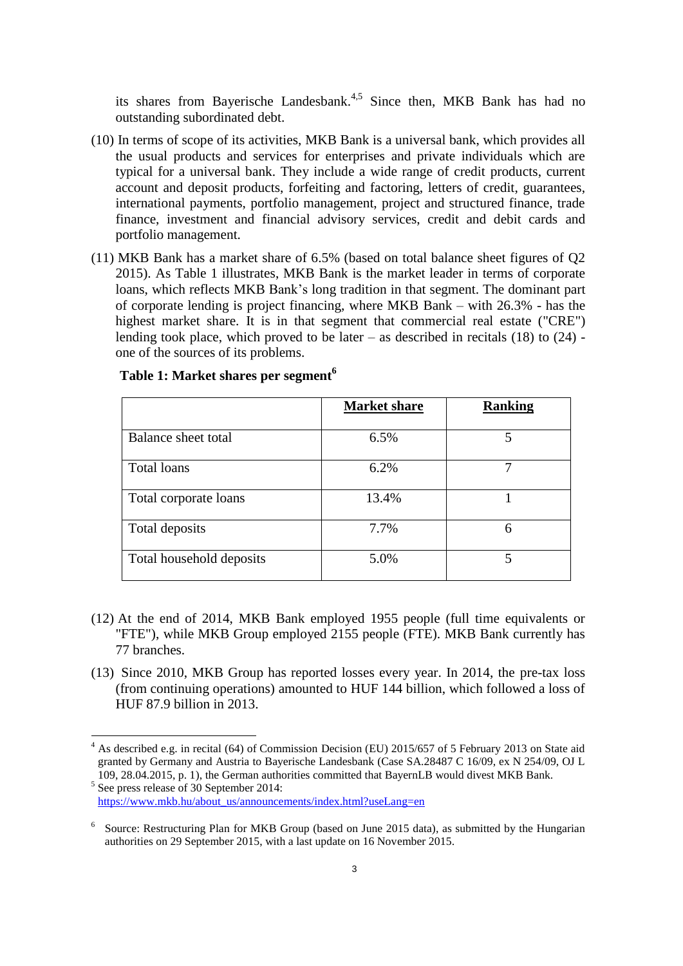its shares from Bayerische Landesbank.<sup>4,5</sup> Since then, MKB Bank has had no outstanding subordinated debt.

- (10) In terms of scope of its activities, MKB Bank is a universal bank, which provides all the usual products and services for enterprises and private individuals which are typical for a universal bank. They include a wide range of credit products, current account and deposit products, forfeiting and factoring, letters of credit, guarantees, international payments, portfolio management, project and structured finance, trade finance, investment and financial advisory services, credit and debit cards and portfolio management.
- (11) MKB Bank has a market share of 6.5% (based on total balance sheet figures of Q2 2015). As Table 1 illustrates, MKB Bank is the market leader in terms of corporate loans, which reflects MKB Bank's long tradition in that segment. The dominant part of corporate lending is project financing, where MKB Bank – with 26.3% - has the highest market share. It is in that segment that commercial real estate ("CRE") lending took place, which proved to be later – as described in recitals  $(18)$  to  $(24)$  one of the sources of its problems.

|                          | <b>Market share</b> | <b>Ranking</b> |
|--------------------------|---------------------|----------------|
| Balance sheet total      | 6.5%                | 5              |
| <b>Total loans</b>       | 6.2%                |                |
| Total corporate loans    | 13.4%               |                |
| Total deposits           | 7.7%                | 6              |
| Total household deposits | 5.0%                | 5              |

# **Table 1: Market shares per segment<sup>6</sup>**

- (12) At the end of 2014, MKB Bank employed 1955 people (full time equivalents or "FTE"), while MKB Group employed 2155 people (FTE). MKB Bank currently has 77 branches.
- (13) Since 2010, MKB Group has reported losses every year. In 2014, the pre-tax loss (from continuing operations) amounted to HUF 144 billion, which followed a loss of HUF 87.9 billion in 2013.

<u>.</u>

<sup>4</sup> As described e.g. in recital (64) of Commission Decision (EU) 2015/657 of 5 February 2013 on State aid granted by Germany and Austria to Bayerische Landesbank (Case SA.28487 C 16/09, ex N 254/09, OJ L 109, 28.04.2015, p. 1), the German authorities committed that BayernLB would divest MKB Bank. 5 See press release of 30 September 2014:

[https://www.mkb.hu/about\\_us/announcements/index.html?useLang=en](https://www.mkb.hu/about_us/announcements/index.html?useLang=en)

<sup>6</sup> Source: Restructuring Plan for MKB Group (based on June 2015 data), as submitted by the Hungarian authorities on 29 September 2015, with a last update on 16 November 2015.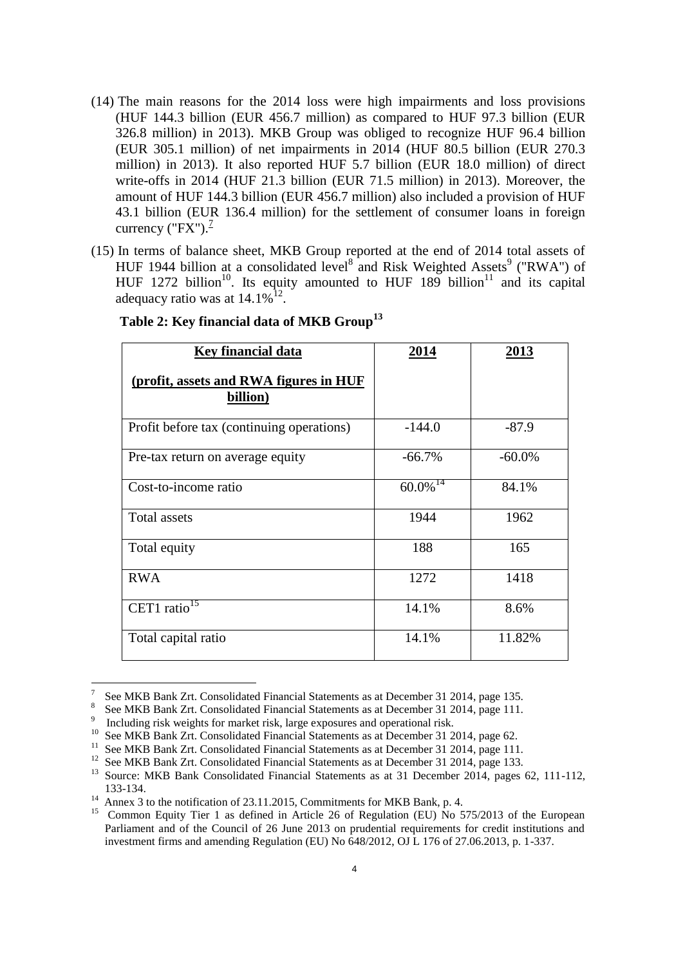- (14) The main reasons for the 2014 loss were high impairments and loss provisions (HUF 144.3 billion (EUR 456.7 million) as compared to HUF 97.3 billion (EUR 326.8 million) in 2013). MKB Group was obliged to recognize HUF 96.4 billion (EUR 305.1 million) of net impairments in 2014 (HUF 80.5 billion (EUR 270.3 million) in 2013). It also reported HUF 5.7 billion (EUR 18.0 million) of direct write-offs in 2014 (HUF 21.3 billion (EUR 71.5 million) in 2013). Moreover, the amount of HUF 144.3 billion (EUR 456.7 million) also included a provision of HUF 43.1 billion (EUR 136.4 million) for the settlement of consumer loans in foreign currency ("FX"). $\frac{7}{2}$
- (15) In terms of balance sheet, MKB Group reported at the end of 2014 total assets of HUF 1944 billion at a consolidated level<sup>8</sup> and Risk Weighted Assets<sup>9</sup> ("RWA") of HUF 1272 billion<sup>10</sup>. Its equity amounted to HUF 189 billion<sup>11</sup> and its capital adequacy ratio was at  $14.1\%$ <sup>12</sup>.

| <b>Key financial data</b>                          | 2014            | 2013      |  |
|----------------------------------------------------|-----------------|-----------|--|
| (profit, assets and RWA figures in HUF<br>billion) |                 |           |  |
| Profit before tax (continuing operations)          | $-144.0$        | $-87.9$   |  |
| Pre-tax return on average equity                   | $-66.7%$        | $-60.0\%$ |  |
| Cost-to-income ratio                               | $60.0\sqrt{14}$ | 84.1%     |  |
| <b>Total assets</b>                                | 1944            | 1962      |  |
| Total equity                                       | 188             | 165       |  |
| <b>RWA</b>                                         | 1272            | 1418      |  |
| CET1 ratio <sup>15</sup>                           | 14.1%           | 8.6%      |  |
| Total capital ratio                                | 14.1%           | 11.82%    |  |

# **Table 2: Key financial data of MKB Group<sup>13</sup>**

<sup>—&</sup>lt;br>7 See MKB Bank Zrt. Consolidated Financial Statements as at December 31 2014, page 135.

<sup>8</sup> See MKB Bank Zrt. Consolidated Financial Statements as at December 31 2014, page 111.

<sup>9</sup> <sup>9</sup> Including risk weights for market risk, large exposures and operational risk.

<sup>&</sup>lt;sup>10</sup> See MKB Bank Zrt. Consolidated Financial Statements as at December 31 2014, page 62.

<sup>&</sup>lt;sup>11</sup> See MKB Bank Zrt. Consolidated Financial Statements as at December 31 2014, page 111.<br><sup>12</sup> See MKB Bank Zrt. Consolidated Financial Statements as at December 31 2014, page 133.

<sup>&</sup>lt;sup>12</sup> See MKB Bank Zrt. Consolidated Financial Statements as at December 31 2014, page 133.<br><sup>13</sup> Source: MKB Bank Consolidated Financial Statements as at 31 December 2014, pages <sup>13</sup> Source: MKB Bank Consolidated Financial Statements as at 31 December 2014, pages 62, 111-112, 133-134.

<sup>14</sup> Annex 3 to the notification of 23.11.2015, Commitments for MKB Bank, p. 4.

<sup>15</sup> Common Equity Tier 1 as defined in Article 26 of Regulation (EU) No 575/2013 of the European Parliament and of the Council of 26 June 2013 on prudential requirements for credit institutions and investment firms and amending Regulation (EU) No 648/2012, OJ L 176 of 27.06.2013, p. 1-337.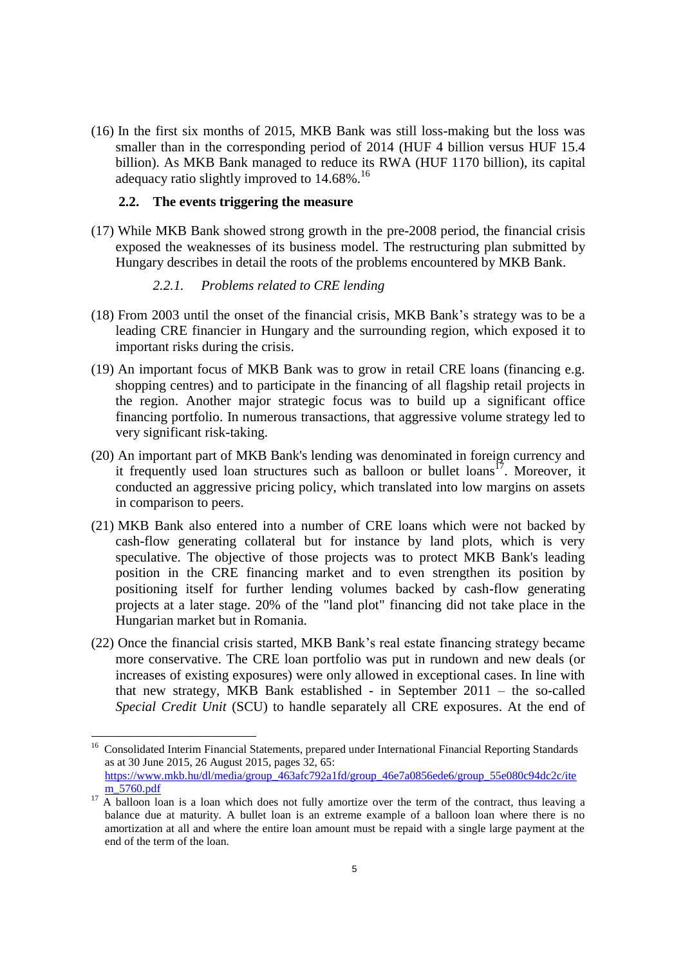(16) In the first six months of 2015, MKB Bank was still loss-making but the loss was smaller than in the corresponding period of 2014 (HUF 4 billion versus HUF 15.4 billion). As MKB Bank managed to reduce its RWA (HUF 1170 billion), its capital adequacy ratio slightly improved to  $14.68\%$ .<sup>16</sup>

# **2.2. The events triggering the measure**

(17) While MKB Bank showed strong growth in the pre-2008 period, the financial crisis exposed the weaknesses of its business model. The restructuring plan submitted by Hungary describes in detail the roots of the problems encountered by MKB Bank.

## *2.2.1. Problems related to CRE lending*

- <span id="page-4-0"></span>(18) From 2003 until the onset of the financial crisis, MKB Bank's strategy was to be a leading CRE financier in Hungary and the surrounding region, which exposed it to important risks during the crisis.
- (19) An important focus of MKB Bank was to grow in retail CRE loans (financing e.g. shopping centres) and to participate in the financing of all flagship retail projects in the region. Another major strategic focus was to build up a significant office financing portfolio. In numerous transactions, that aggressive volume strategy led to very significant risk-taking.
- (20) An important part of MKB Bank's lending was denominated in foreign currency and it frequently used loan structures such as balloon or bullet loans<sup>17</sup>. Moreover, it conducted an aggressive pricing policy, which translated into low margins on assets in comparison to peers.
- (21) MKB Bank also entered into a number of CRE loans which were not backed by cash-flow generating collateral but for instance by land plots, which is very speculative. The objective of those projects was to protect MKB Bank's leading position in the CRE financing market and to even strengthen its position by positioning itself for further lending volumes backed by cash-flow generating projects at a later stage. 20% of the "land plot" financing did not take place in the Hungarian market but in Romania.
- (22) Once the financial crisis started, MKB Bank's real estate financing strategy became more conservative. The CRE loan portfolio was put in rundown and new deals (or increases of existing exposures) were only allowed in exceptional cases. In line with that new strategy, MKB Bank established - in September  $2011 -$  the so-called *Special Credit Unit* (SCU) to handle separately all CRE exposures. At the end of

 $\frac{16}{16}$  Consolidated Interim Financial Statements, prepared under International Financial Reporting Standards as at 30 June 2015, 26 August 2015, pages 32, 65: [https://www.mkb.hu/dl/media/group\\_463afc792a1fd/group\\_46e7a0856ede6/group\\_55e080c94dc2c/ite](https://www.mkb.hu/dl/media/group_463afc792a1fd/group_46e7a0856ede6/group_55e080c94dc2c/item_5760.pdf) [m\\_5760.pdf](https://www.mkb.hu/dl/media/group_463afc792a1fd/group_46e7a0856ede6/group_55e080c94dc2c/item_5760.pdf)

 $17$  A balloon [loan](https://en.wikipedia.org/wiki/Mortgage_loan) is a loan which does not fully [amortize](https://en.wikipedia.org/wiki/Amortization_(business)) over the term of the [contract,](https://en.wikipedia.org/wiki/Mortgage_note) thus leaving a balance due at [maturity.](https://en.wikipedia.org/wiki/Maturity_(finance)) A bullet loan is an extreme example of a balloon loan where there is no amortization at all and where the entire loan amount must be repaid with a single large payment at the end of the [term](http://www.investinganswers.com/node/5890) of the loan.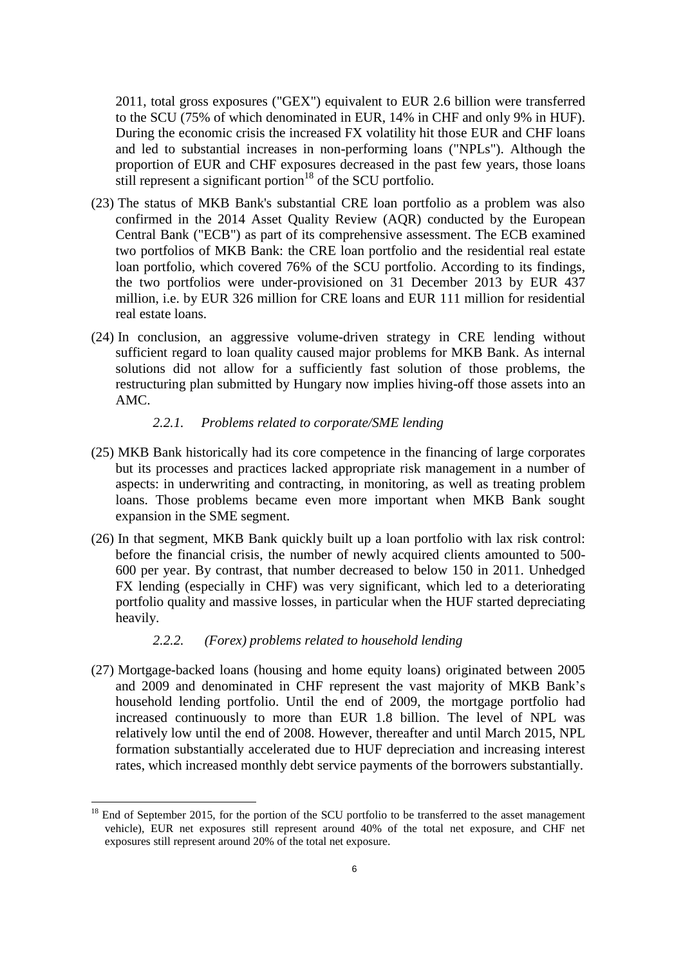2011, total gross exposures ("GEX") equivalent to EUR 2.6 billion were transferred to the SCU (75% of which denominated in EUR, 14% in CHF and only 9% in HUF). During the economic crisis the increased FX volatility hit those EUR and CHF loans and led to substantial increases in non-performing loans ("NPLs"). Although the proportion of EUR and CHF exposures decreased in the past few years, those loans still represent a significant portion<sup>18</sup> of the SCU portfolio.

- <span id="page-5-1"></span>(23) The status of MKB Bank's substantial CRE loan portfolio as a problem was also confirmed in the 2014 Asset Quality Review (AQR) conducted by the European Central Bank ("ECB") as part of its comprehensive assessment. The ECB examined two portfolios of MKB Bank: the CRE loan portfolio and the residential real estate loan portfolio, which covered 76% of the SCU portfolio. According to its findings, the two portfolios were under-provisioned on 31 December 2013 by EUR 437 million, i.e. by EUR 326 million for CRE loans and EUR 111 million for residential real estate loans.
- <span id="page-5-0"></span>(24) In conclusion, an aggressive volume-driven strategy in CRE lending without sufficient regard to loan quality caused major problems for MKB Bank. As internal solutions did not allow for a sufficiently fast solution of those problems, the restructuring plan submitted by Hungary now implies hiving-off those assets into an AMC.

# *2.2.1. Problems related to corporate/SME lending*

- (25) MKB Bank historically had its core competence in the financing of large corporates but its processes and practices lacked appropriate risk management in a number of aspects: in underwriting and contracting, in monitoring, as well as treating problem loans. Those problems became even more important when MKB Bank sought expansion in the SME segment.
- (26) In that segment, MKB Bank quickly built up a loan portfolio with lax risk control: before the financial crisis, the number of newly acquired clients amounted to 500- 600 per year. By contrast, that number decreased to below 150 in 2011. Unhedged FX lending (especially in CHF) was very significant, which led to a deteriorating portfolio quality and massive losses, in particular when the HUF started depreciating heavily.

### *2.2.2. (Forex) problems related to household lending*

<u>.</u>

(27) Mortgage-backed loans (housing and home equity loans) originated between 2005 and 2009 and denominated in CHF represent the vast majority of MKB Bank's household lending portfolio. Until the end of 2009, the mortgage portfolio had increased continuously to more than EUR 1.8 billion. The level of NPL was relatively low until the end of 2008. However, thereafter and until March 2015, NPL formation substantially accelerated due to HUF depreciation and increasing interest rates, which increased monthly debt service payments of the borrowers substantially.

<sup>&</sup>lt;sup>18</sup> End of September 2015, for the portion of the SCU portfolio to be transferred to the asset management vehicle), EUR net exposures still represent around 40% of the total net exposure, and CHF net exposures still represent around 20% of the total net exposure.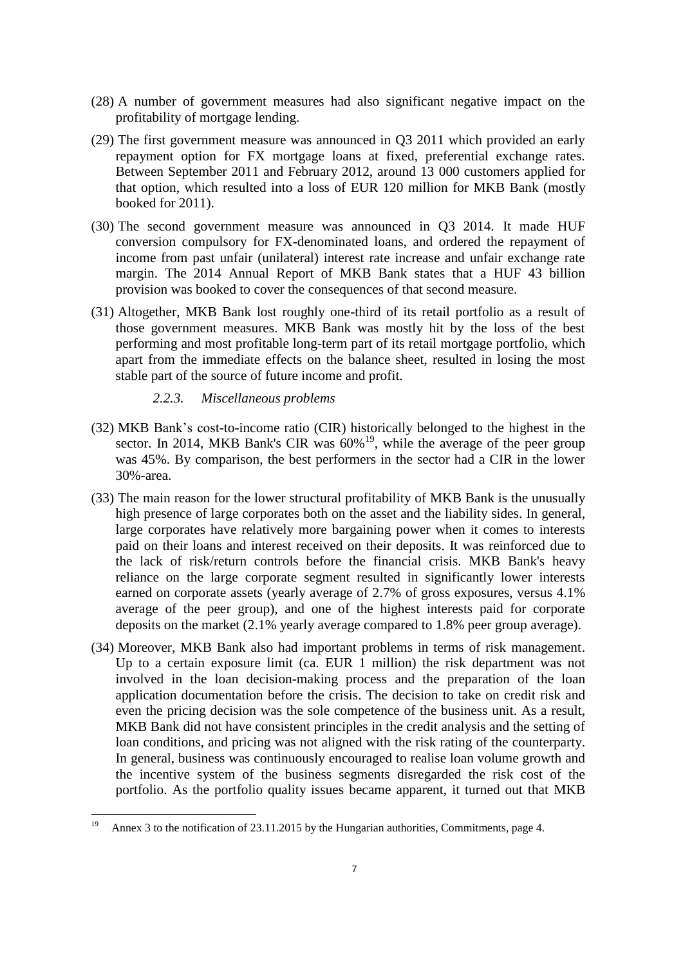- (28) A number of government measures had also significant negative impact on the profitability of mortgage lending.
- (29) The first government measure was announced in Q3 2011 which provided an early repayment option for FX mortgage loans at fixed, preferential exchange rates. Between September 2011 and February 2012, around 13 000 customers applied for that option, which resulted into a loss of EUR 120 million for MKB Bank (mostly booked for 2011).
- (30) The second government measure was announced in Q3 2014. It made HUF conversion compulsory for FX-denominated loans, and ordered the repayment of income from past unfair (unilateral) interest rate increase and unfair exchange rate margin. The 2014 Annual Report of MKB Bank states that a HUF 43 billion provision was booked to cover the consequences of that second measure.
- (31) Altogether, MKB Bank lost roughly one-third of its retail portfolio as a result of those government measures. MKB Bank was mostly hit by the loss of the best performing and most profitable long-term part of its retail mortgage portfolio, which apart from the immediate effects on the balance sheet, resulted in losing the most stable part of the source of future income and profit.
	- *2.2.3. Miscellaneous problems*
- (32) MKB Bank's cost-to-income ratio (CIR) historically belonged to the highest in the sector. In 2014, MKB Bank's CIR was  $60\%$ <sup>19</sup>, while the average of the peer group was 45%. By comparison, the best performers in the sector had a CIR in the lower 30%-area.
- (33) The main reason for the lower structural profitability of MKB Bank is the unusually high presence of large corporates both on the asset and the liability sides. In general, large corporates have relatively more bargaining power when it comes to interests paid on their loans and interest received on their deposits. It was reinforced due to the lack of risk/return controls before the financial crisis. MKB Bank's heavy reliance on the large corporate segment resulted in significantly lower interests earned on corporate assets (yearly average of 2.7% of gross exposures, versus 4.1% average of the peer group), and one of the highest interests paid for corporate deposits on the market (2.1% yearly average compared to 1.8% peer group average).
- (34) Moreover, MKB Bank also had important problems in terms of risk management. Up to a certain exposure limit (ca. EUR 1 million) the risk department was not involved in the loan decision-making process and the preparation of the loan application documentation before the crisis. The decision to take on credit risk and even the pricing decision was the sole competence of the business unit. As a result, MKB Bank did not have consistent principles in the credit analysis and the setting of loan conditions, and pricing was not aligned with the risk rating of the counterparty. In general, business was continuously encouraged to realise loan volume growth and the incentive system of the business segments disregarded the risk cost of the portfolio. As the portfolio quality issues became apparent, it turned out that MKB

 $19$ Annex 3 to the notification of 23.11.2015 by the Hungarian authorities, Commitments, page 4.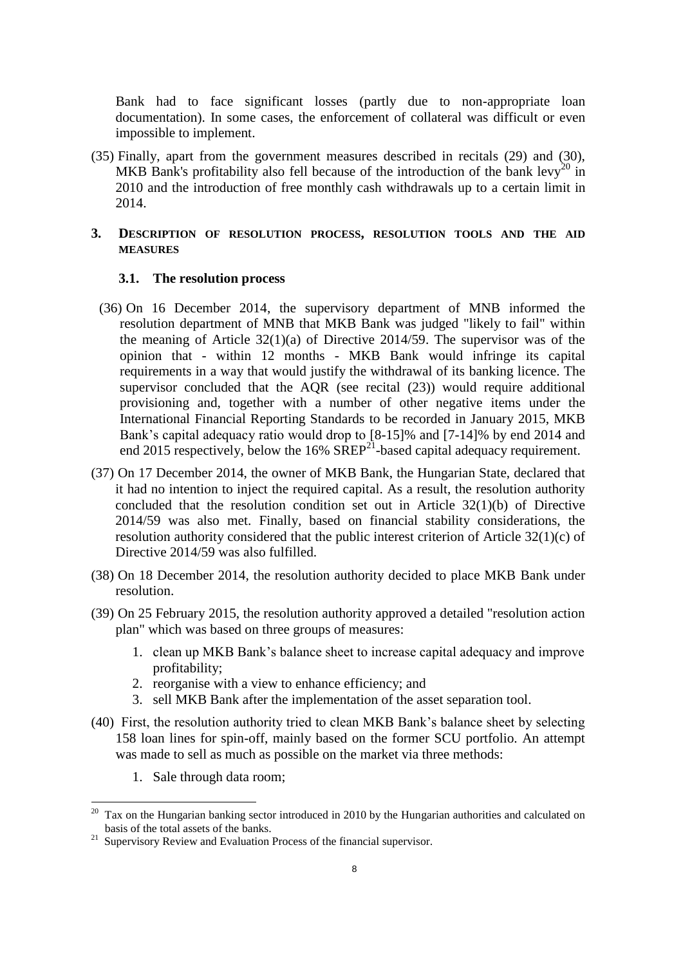Bank had to face significant losses (partly due to non-appropriate loan documentation). In some cases, the enforcement of collateral was difficult or even impossible to implement.

(35) Finally, apart from the government measures described in recitals (29) and (30), MKB Bank's profitability also fell because of the introduction of the bank levy<sup>20</sup> in 2010 and the introduction of free monthly cash withdrawals up to a certain limit in 2014.

# **3. DESCRIPTION OF RESOLUTION PROCESS, RESOLUTION TOOLS AND THE AID MEASURES**

#### **3.1. The resolution process**

- <span id="page-7-1"></span>(36) On 16 December 2014, the supervisory department of MNB informed the resolution department of MNB that MKB Bank was judged "likely to fail" within the meaning of Article 32(1)(a) of Directive 2014/59. The supervisor was of the opinion that - within 12 months - MKB Bank would infringe its capital requirements in a way that would justify the withdrawal of its banking licence. The supervisor concluded that the AQR (see recital [\(23\)\)](#page-5-1) would require additional provisioning and, together with a number of other negative items under the International Financial Reporting Standards to be recorded in January 2015, MKB Bank's capital adequacy ratio would drop to [8-15]% and [7-14]% by end 2014 and end 2015 respectively, below the 16%  $SREF^{21}$ -based capital adequacy requirement.
- (37) On 17 December 2014, the owner of MKB Bank, the Hungarian State, declared that it had no intention to inject the required capital. As a result, the resolution authority concluded that the resolution condition set out in Article 32(1)(b) of Directive 2014/59 was also met. Finally, based on financial stability considerations, the resolution authority considered that the public interest criterion of Article 32(1)(c) of Directive 2014/59 was also fulfilled.
- (38) On 18 December 2014, the resolution authority decided to place MKB Bank under resolution.
- <span id="page-7-2"></span>(39) On 25 February 2015, the resolution authority approved a detailed "resolution action plan" which was based on three groups of measures:
	- 1. clean up MKB Bank's balance sheet to increase capital adequacy and improve profitability;
	- 2. reorganise with a view to enhance efficiency; and
	- 3. sell MKB Bank after the implementation of the asset separation tool.
- <span id="page-7-0"></span>(40) First, the resolution authority tried to clean MKB Bank's balance sheet by selecting 158 loan lines for spin-off, mainly based on the former SCU portfolio. An attempt was made to sell as much as possible on the market via three methods:
	- 1. Sale through data room;

<sup>&</sup>lt;sup>20</sup> Tax on the Hungarian banking sector introduced in 2010 by the Hungarian authorities and calculated on basis of the total assets of the banks.

 $21$  Supervisory Review and Evaluation Process of the financial supervisor.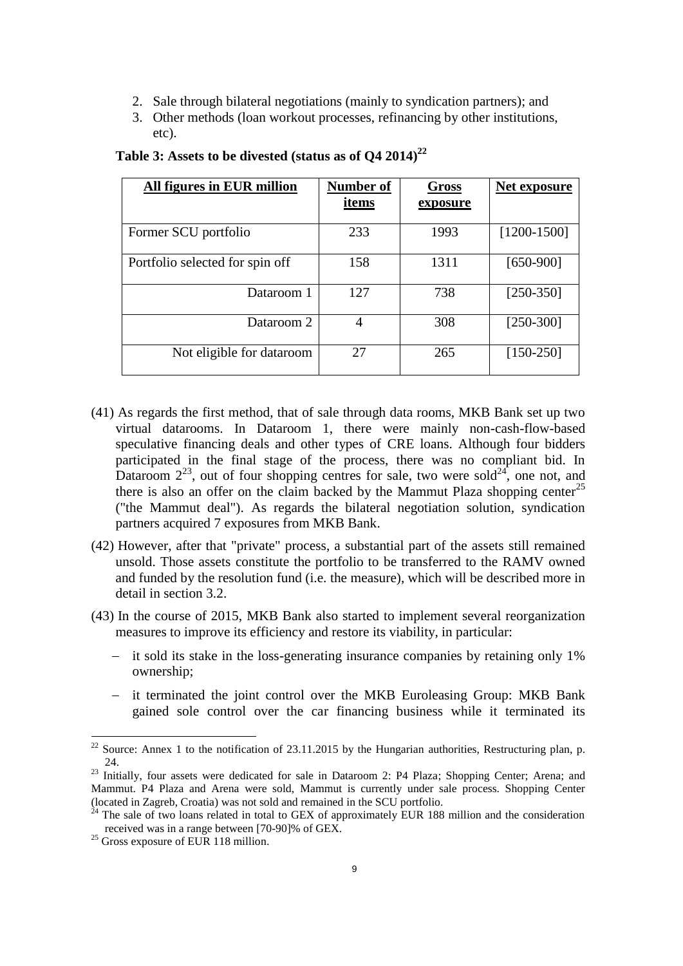- 2. Sale through bilateral negotiations (mainly to syndication partners); and
- 3. Other methods (loan workout processes, refinancing by other institutions, etc).

| All figures in EUR million      | Number of | <b>Gross</b> | Net exposure  |
|---------------------------------|-----------|--------------|---------------|
|                                 | items     | exposure     |               |
| Former SCU portfolio            | 233       | 1993         | $[1200-1500]$ |
| Portfolio selected for spin off | 158       | 1311         | $[650-900]$   |
| Dataroom 1                      | 127       | 738          | $[250-350]$   |
| Dataroom 2                      | 4         | 308          | $[250-300]$   |
| Not eligible for dataroom       | 27        | 265          | $[150-250]$   |

# **Table 3: Assets to be divested (status as of Q4 2014)<sup>22</sup>**

- <span id="page-8-0"></span>(41) As regards the first method, that of sale through data rooms, MKB Bank set up two virtual datarooms. In Dataroom 1, there were mainly non-cash-flow-based speculative financing deals and other types of CRE loans. Although four bidders participated in the final stage of the process, there was no compliant bid. In Dataroom  $2^{23}$ , out of four shopping centres for sale, two were sold<sup>24</sup>, one not, and there is also an offer on the claim backed by the Mammut Plaza shopping center<sup>25</sup> ("the Mammut deal"). As regards the bilateral negotiation solution, syndication partners acquired 7 exposures from MKB Bank.
- <span id="page-8-1"></span>(42) However, after that "private" process, a substantial part of the assets still remained unsold. Those assets constitute the portfolio to be transferred to the RAMV owned and funded by the resolution fund (i.e. the measure), which will be described more in detail in section [3.2.](#page-9-0)
- (43) In the course of 2015, MKB Bank also started to implement several reorganization measures to improve its efficiency and restore its viability, in particular:
	- it sold its stake in the loss-generating insurance companies by retaining only 1% ownership;
	- it terminated the joint control over the MKB Euroleasing Group: MKB Bank gained sole control over the car financing business while it terminated its

1

<sup>&</sup>lt;sup>22</sup> Source: Annex 1 to the notification of 23.11.2015 by the Hungarian authorities, Restructuring plan, p. 24.

<sup>&</sup>lt;sup>23</sup> Initially, four assets were dedicated for sale in Dataroom 2: P4 Plaza; Shopping Center; Arena; and Mammut. P4 Plaza and Arena were sold, Mammut is currently under sale process. Shopping Center (located in Zagreb, Croatia) was not sold and remained in the SCU portfolio.

<sup>24</sup> The sale of two loans related in total to GEX of approximately EUR 188 million and the consideration received was in a range between [70-90]% of GEX.

 $25$  Gross exposure of EUR 118 million.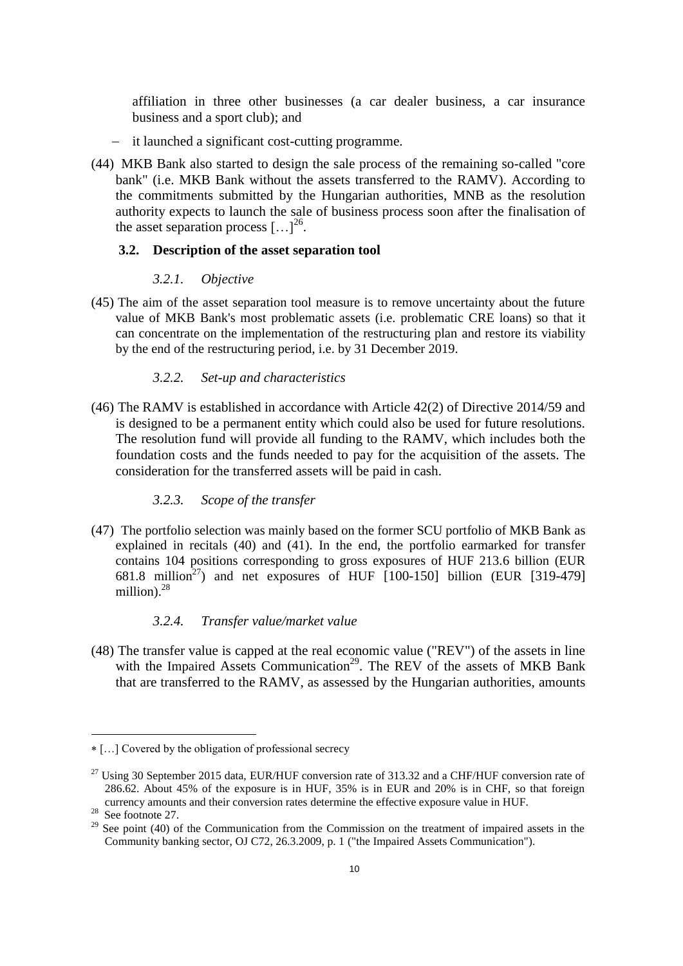affiliation in three other businesses (a car dealer business, a car insurance business and a sport club); and

- it launched a significant cost-cutting programme.
- (44) MKB Bank also started to design the sale process of the remaining so-called "core bank" (i.e. MKB Bank without the assets transferred to the RAMV). According to the commitments submitted by the Hungarian authorities, MNB as the resolution authority expects to launch the sale of business process soon after the finalisation of the asset separation process  $[...]^{26}$ .

# <span id="page-9-0"></span>**3.2. Description of the asset separation tool**

#### *3.2.1. Objective*

(45) The aim of the asset separation tool measure is to remove uncertainty about the future value of MKB Bank's most problematic assets (i.e. problematic CRE loans) so that it can concentrate on the implementation of the restructuring plan and restore its viability by the end of the restructuring period, i.e. by 31 December 2019.

### *3.2.2. Set-up and characteristics*

(46) The RAMV is established in accordance with Article 42(2) of Directive 2014/59 and is designed to be a permanent entity which could also be used for future resolutions. The resolution fund will provide all funding to the RAMV, which includes both the foundation costs and the funds needed to pay for the acquisition of the assets. The consideration for the transferred assets will be paid in cash.

#### *3.2.3. Scope of the transfer*

(47) The portfolio selection was mainly based on the former SCU portfolio of MKB Bank as explained in recitals [\(40\)](#page-7-0) and [\(41\).](#page-8-0) In the end, the portfolio earmarked for transfer contains 104 positions corresponding to gross exposures of HUF 213.6 billion (EUR 681.8 million<sup>27</sup>) and net exposures of HUF  $[100-150]$  billion (EUR  $[319-479]$ ) million).<sup>28</sup>

### <span id="page-9-1"></span>*3.2.4. Transfer value/market value*

(48) The transfer value is capped at the real economic value ("REV") of the assets in line with the Impaired Assets Communication<sup>29</sup>. The REV of the assets of MKB Bank that are transferred to the RAMV, as assessed by the Hungarian authorities, amounts

<u>.</u>

[…] Covered by the obligation of professional secrecy

 $27$  Using 30 September 2015 data, EUR/HUF conversion rate of 313.32 and a CHF/HUF conversion rate of 286.62. About 45% of the exposure is in HUF, 35% is in EUR and 20% is in CHF, so that foreign currency amounts and their conversion rates determine the effective exposure value in HUF.

<sup>28</sup>  $\frac{28}{29}$  See footnot[e 27.](#page-9-1)

See point (40) of the Communication from the Commission on the treatment of impaired assets in the Community banking sector, OJ C72, 26.3.2009, p. 1 ("the Impaired Assets Communication").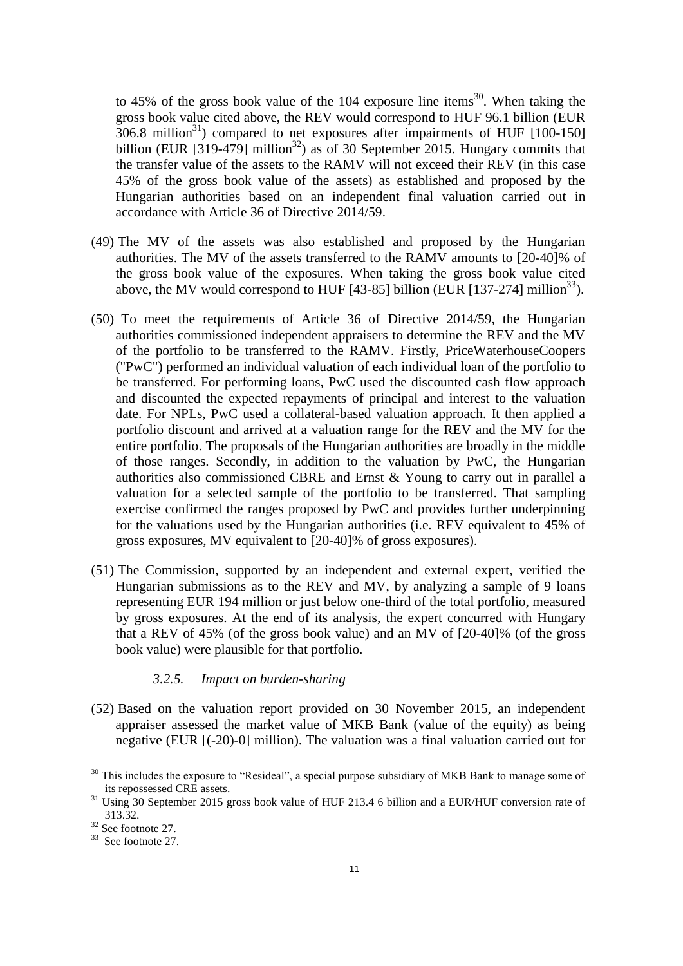to 45% of the gross book value of the 104 exposure line items<sup>30</sup>. When taking the gross book value cited above, the REV would correspond to HUF 96.1 billion (EUR  $306.8$  million<sup>31</sup>) compared to net exposures after impairments of HUF [100-150] billion (EUR [319-479] million<sup>32</sup>) as of 30 September 2015. Hungary commits that the transfer value of the assets to the RAMV will not exceed their REV (in this case 45% of the gross book value of the assets) as established and proposed by the Hungarian authorities based on an independent final valuation carried out in accordance with Article 36 of Directive 2014/59.

- (49) The MV of the assets was also established and proposed by the Hungarian authorities. The MV of the assets transferred to the RAMV amounts to [20-40]% of the gross book value of the exposures. When taking the gross book value cited above, the MV would correspond to HUF  $[43-85]$  billion (EUR  $[137-274]$  million<sup>33</sup>).
- (50) To meet the requirements of Article 36 of Directive 2014/59, the Hungarian authorities commissioned independent appraisers to determine the REV and the MV of the portfolio to be transferred to the RAMV. Firstly, PriceWaterhouseCoopers ("PwC") performed an individual valuation of each individual loan of the portfolio to be transferred. For performing loans, PwC used the discounted cash flow approach and discounted the expected repayments of principal and interest to the valuation date. For NPLs, PwC used a collateral-based valuation approach. It then applied a portfolio discount and arrived at a valuation range for the REV and the MV for the entire portfolio. The proposals of the Hungarian authorities are broadly in the middle of those ranges. Secondly, in addition to the valuation by PwC, the Hungarian authorities also commissioned CBRE and Ernst & Young to carry out in parallel a valuation for a selected sample of the portfolio to be transferred. That sampling exercise confirmed the ranges proposed by PwC and provides further underpinning for the valuations used by the Hungarian authorities (i.e. REV equivalent to 45% of gross exposures, MV equivalent to [20-40]% of gross exposures).
- (51) The Commission, supported by an independent and external expert, verified the Hungarian submissions as to the REV and MV, by analyzing a sample of 9 loans representing EUR 194 million or just below one-third of the total portfolio, measured by gross exposures. At the end of its analysis, the expert concurred with Hungary that a REV of 45% (of the gross book value) and an MV of [20-40]% (of the gross book value) were plausible for that portfolio.

#### *3.2.5. Impact on burden-sharing*

<span id="page-10-0"></span>(52) Based on the valuation report provided on 30 November 2015, an independent appraiser assessed the market value of MKB Bank (value of the equity) as being negative (EUR [(-20)-0] million). The valuation was a final valuation carried out for

-

 $30$  This includes the exposure to "Resideal", a special purpose subsidiary of MKB Bank to manage some of its repossessed CRE assets.

<sup>&</sup>lt;sup>31</sup> Using 30 September 2015 gross book value of HUF 213.4 6 billion and a EUR/HUF conversion rate of 313.32.

<sup>32</sup> See footnote [27.](#page-9-1)

<sup>&</sup>lt;sup>33</sup> See footnot[e 27.](#page-9-1)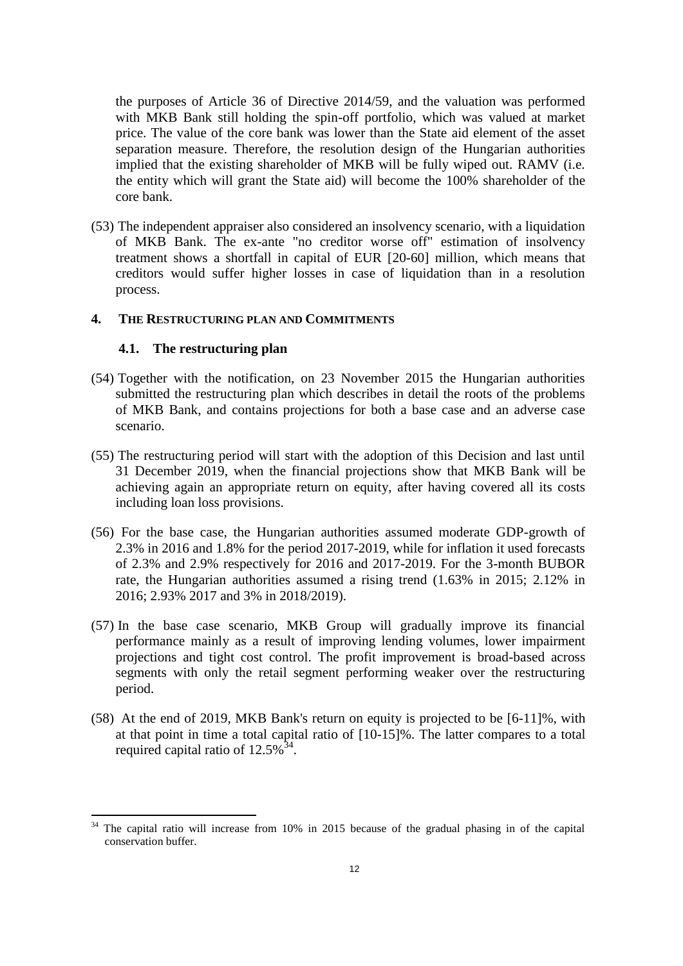the purposes of Article 36 of Directive 2014/59, and the valuation was performed with MKB Bank still holding the spin-off portfolio, which was valued at market price. The value of the core bank was lower than the State aid element of the asset separation measure. Therefore, the resolution design of the Hungarian authorities implied that the existing shareholder of MKB will be fully wiped out. RAMV (i.e. the entity which will grant the State aid) will become the 100% shareholder of the core bank.

<span id="page-11-2"></span>(53) The independent appraiser also considered an insolvency scenario, with a liquidation of MKB Bank. The ex-ante "no creditor worse off" estimation of insolvency treatment shows a shortfall in capital of EUR [20-60] million, which means that creditors would suffer higher losses in case of liquidation than in a resolution process.

#### **4. THE RESTRUCTURING PLAN AND COMMITMENTS**

## <span id="page-11-0"></span>**4.1. The restructuring plan**

1

- (54) Together with the notification, on 23 November 2015 the Hungarian authorities submitted the restructuring plan which describes in detail the roots of the problems of MKB Bank, and contains projections for both a base case and an adverse case scenario.
- (55) The restructuring period will start with the adoption of this Decision and last until 31 December 2019, when the financial projections show that MKB Bank will be achieving again an appropriate return on equity, after having covered all its costs including loan loss provisions.
- (56) For the base case, the Hungarian authorities assumed moderate GDP-growth of 2.3% in 2016 and 1.8% for the period 2017-2019, while for inflation it used forecasts of 2.3% and 2.9% respectively for 2016 and 2017-2019. For the 3-month BUBOR rate, the Hungarian authorities assumed a rising trend (1.63% in 2015; 2.12% in 2016; 2.93% 2017 and 3% in 2018/2019).
- (57) In the base case scenario, MKB Group will gradually improve its financial performance mainly as a result of improving lending volumes, lower impairment projections and tight cost control. The profit improvement is broad-based across segments with only the retail segment performing weaker over the restructuring period.
- <span id="page-11-1"></span>(58) At the end of 2019, MKB Bank's return on equity is projected to be [6-11]%, with at that point in time a total capital ratio of [10-15]%. The latter compares to a total required capital ratio of  $12.5\%$ <sup>34</sup>.

The capital ratio will increase from 10% in 2015 because of the gradual phasing in of the capital conservation buffer.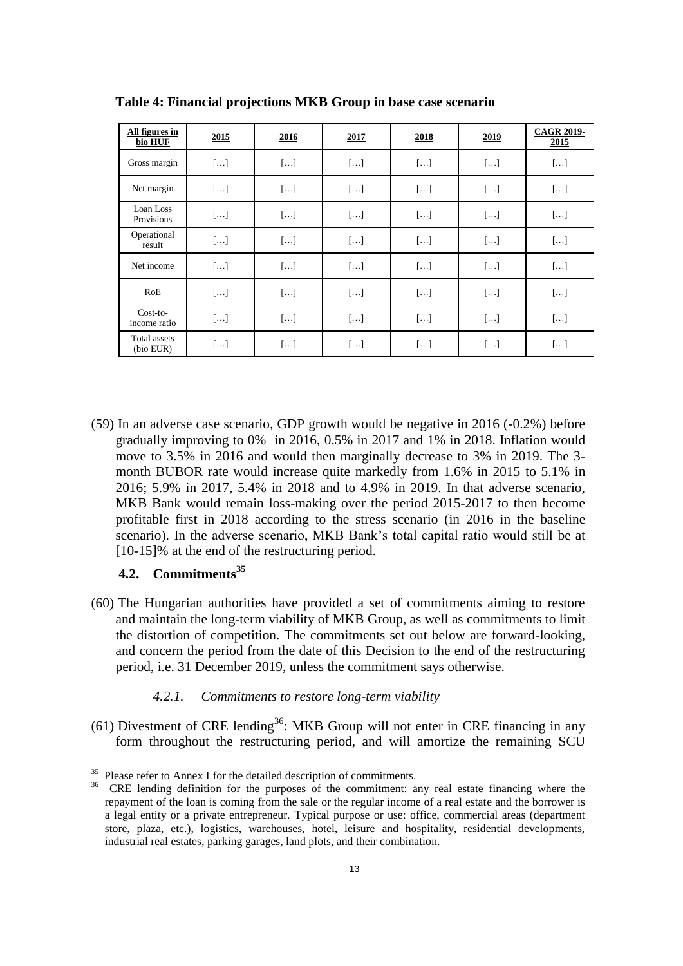| All figures in<br>bio HUF  | 2015       | 2016       | 2017       | 2018       | 2019       | <b>CAGR 2019-</b><br>2015 |
|----------------------------|------------|------------|------------|------------|------------|---------------------------|
| Gross margin               | $[\ldots]$ | $[\ldots]$ | $[\ldots]$ | $[\ldots]$ | $[\ldots]$ | $[ \ldots ]$              |
| Net margin                 | $[\ldots]$ | $[]$       | $[]$       | $[]$       | $[]$       | $[\ldots]$                |
| Loan Loss<br>Provisions    | $[\ldots]$ | $[\ldots]$ | $[]$       | $[\ldots]$ | $[\ldots]$ | $[\ldots]$                |
| Operational<br>result      | $[\ldots]$ | $[]$       | $[]$       | $[]$       | []         | $[ \ldots ]$              |
| Net income                 | $[]$       | $[]$       | $[\ldots]$ | []         | $[]$       | $[\ldots]$                |
| RoE                        | $[\ldots]$ | $[\ldots]$ | []         | $[]$       | $[\ldots]$ | $[\ldots]$                |
| $Cost-to-$<br>income ratio | $[\ldots]$ | $[]$       | $[]$       | $[]$       | $[\ldots]$ | $[\ldots]$                |
| Total assets<br>(bio EUR)  | $[]$       | []         | $[]$       | $[]$       | $[\ldots]$ | $[ \ldots ]$              |

**Table 4: Financial projections MKB Group in base case scenario**

<span id="page-12-0"></span>(59) In an adverse case scenario, GDP growth would be negative in 2016 (-0.2%) before gradually improving to 0% in 2016, 0.5% in 2017 and 1% in 2018. Inflation would move to 3.5% in 2016 and would then marginally decrease to 3% in 2019. The 3 month BUBOR rate would increase quite markedly from 1.6% in 2015 to 5.1% in 2016; 5.9% in 2017, 5.4% in 2018 and to 4.9% in 2019. In that adverse scenario, MKB Bank would remain loss-making over the period 2015-2017 to then become profitable first in 2018 according to the stress scenario (in 2016 in the baseline scenario). In the adverse scenario, MKB Bank's total capital ratio would still be at [10-15]% at the end of the restructuring period.

# **4.2. Commitments<sup>35</sup>**

<span id="page-12-1"></span>(60) The Hungarian authorities have provided a set of commitments aiming to restore and maintain the long-term viability of MKB Group, as well as commitments to limit the distortion of competition. The commitments set out below are forward-looking, and concern the period from the date of this Decision to the end of the restructuring period, i.e. 31 December 2019, unless the commitment says otherwise.

# *4.2.1. Commitments to restore long-term viability*

 $(61)$  Divestment of CRE lending<sup>36</sup>: MKB Group will not enter in CRE financing in any form throughout the restructuring period, and will amortize the remaining SCU

<sup>&</sup>lt;sup>35</sup> Please refer to Annex I for the detailed description of commitments.

<sup>&</sup>lt;sup>36</sup> CRE lending definition for the purposes of the commitment: any real estate financing where the repayment of the loan is coming from the sale or the regular income of a real estate and the borrower is a legal entity or a private entrepreneur. Typical purpose or use: office, commercial areas (department store, plaza, etc.), logistics, warehouses, hotel, leisure and hospitality, residential developments, industrial real estates, parking garages, land plots, and their combination.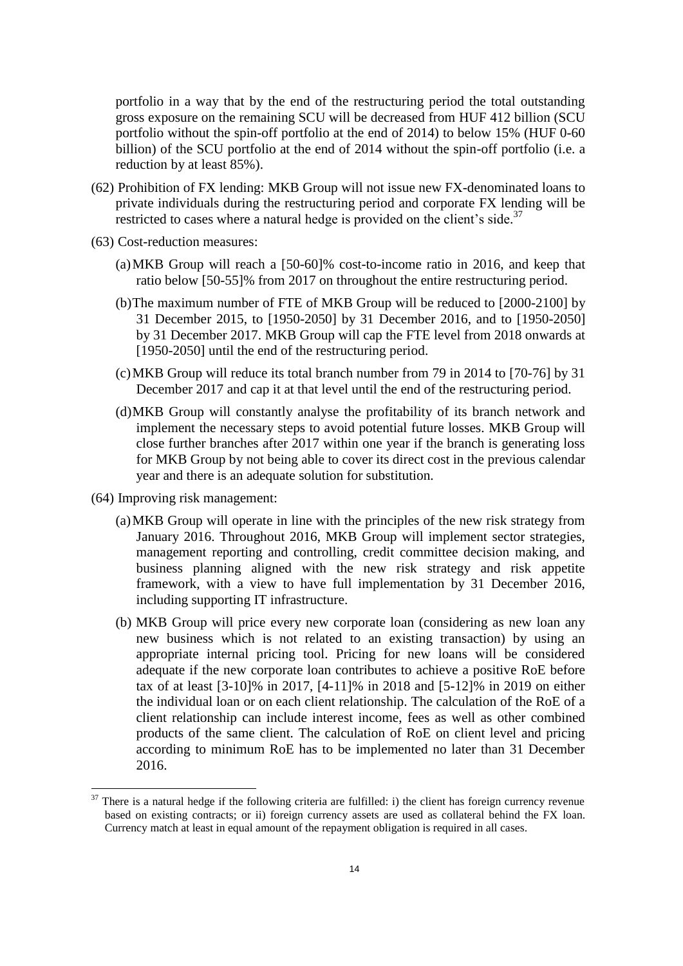portfolio in a way that by the end of the restructuring period the total outstanding gross exposure on the remaining SCU will be decreased from HUF 412 billion (SCU portfolio without the spin-off portfolio at the end of 2014) to below 15% (HUF 0-60 billion) of the SCU portfolio at the end of 2014 without the spin-off portfolio (i.e. a reduction by at least 85%).

- (62) Prohibition of FX lending: MKB Group will not issue new FX-denominated loans to private individuals during the restructuring period and corporate FX lending will be restricted to cases where a natural hedge is provided on the client's side.<sup>37</sup>
- (63) Cost-reduction measures:
	- (a)MKB Group will reach a [50-60]% cost-to-income ratio in 2016, and keep that ratio below [50-55]% from 2017 on throughout the entire restructuring period.
	- (b)The maximum number of FTE of MKB Group will be reduced to [2000-2100] by 31 December 2015, to [1950-2050] by 31 December 2016, and to [1950-2050] by 31 December 2017. MKB Group will cap the FTE level from 2018 onwards at [1950-2050] until the end of the restructuring period.
	- (c)MKB Group will reduce its total branch number from 79 in 2014 to [70-76] by 31 December 2017 and cap it at that level until the end of the restructuring period.
	- (d)MKB Group will constantly analyse the profitability of its branch network and implement the necessary steps to avoid potential future losses. MKB Group will close further branches after 2017 within one year if the branch is generating loss for MKB Group by not being able to cover its direct cost in the previous calendar year and there is an adequate solution for substitution.
- (64) Improving risk management:

<u>.</u>

- (a)MKB Group will operate in line with the principles of the new risk strategy from January 2016. Throughout 2016, MKB Group will implement sector strategies, management reporting and controlling, credit committee decision making, and business planning aligned with the new risk strategy and risk appetite framework, with a view to have full implementation by 31 December 2016, including supporting IT infrastructure.
- (b) MKB Group will price every new corporate loan (considering as new loan any new business which is not related to an existing transaction) by using an appropriate internal pricing tool. Pricing for new loans will be considered adequate if the new corporate loan contributes to achieve a positive RoE before tax of at least [3-10]% in 2017, [4-11]% in 2018 and [5-12]% in 2019 on either the individual loan or on each client relationship. The calculation of the RoE of a client relationship can include interest income, fees as well as other combined products of the same client. The calculation of RoE on client level and pricing according to minimum RoE has to be implemented no later than 31 December 2016.

 $37$  There is a natural hedge if the following criteria are fulfilled: i) the client has foreign currency revenue based on existing contracts; or ii) foreign currency assets are used as collateral behind the FX loan. Currency match at least in equal amount of the repayment obligation is required in all cases.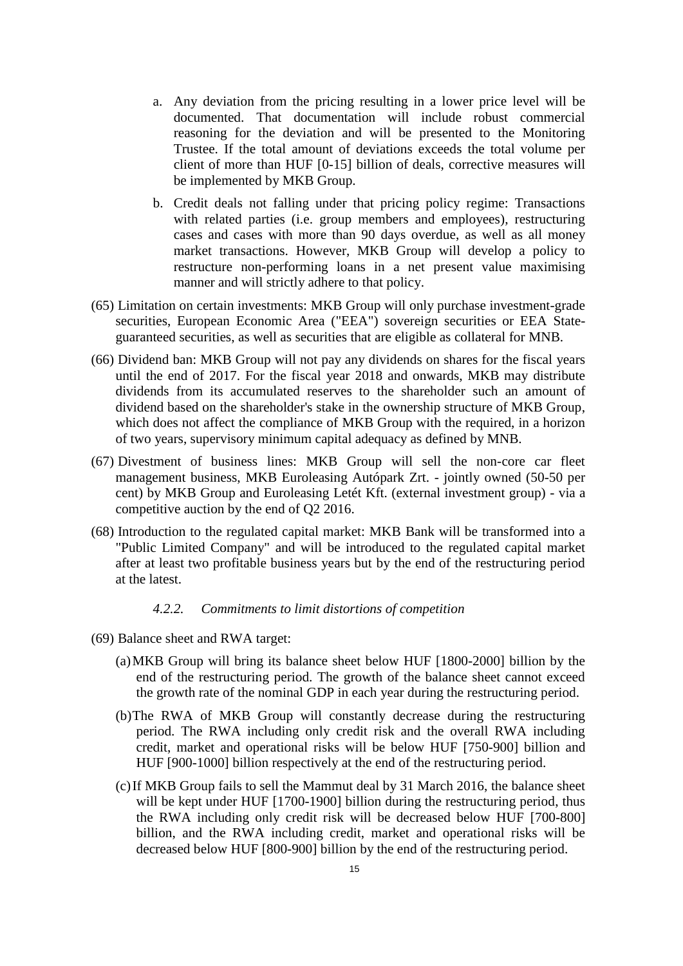- a. Any deviation from the pricing resulting in a lower price level will be documented. That documentation will include robust commercial reasoning for the deviation and will be presented to the Monitoring Trustee. If the total amount of deviations exceeds the total volume per client of more than HUF [0-15] billion of deals, corrective measures will be implemented by MKB Group.
- b. Credit deals not falling under that pricing policy regime: Transactions with related parties (i.e. group members and employees), restructuring cases and cases with more than 90 days overdue, as well as all money market transactions. However, MKB Group will develop a policy to restructure non-performing loans in a net present value maximising manner and will strictly adhere to that policy.
- (65) Limitation on certain investments: MKB Group will only purchase investment-grade securities, European Economic Area ("EEA") sovereign securities or EEA Stateguaranteed securities, as well as securities that are eligible as collateral for MNB.
- (66) Dividend ban: MKB Group will not pay any dividends on shares for the fiscal years until the end of 2017. For the fiscal year 2018 and onwards, MKB may distribute dividends from its accumulated reserves to the shareholder such an amount of dividend based on the shareholder's stake in the ownership structure of MKB Group, which does not affect the compliance of MKB Group with the required, in a horizon of two years, supervisory minimum capital adequacy as defined by MNB.
- <span id="page-14-0"></span>(67) Divestment of business lines: MKB Group will sell the non-core car fleet management business, MKB Euroleasing Autópark Zrt. - jointly owned (50-50 per cent) by MKB Group and Euroleasing Letét Kft. (external investment group) - via a competitive auction by the end of Q2 2016.
- (68) Introduction to the regulated capital market: MKB Bank will be transformed into a "Public Limited Company" and will be introduced to the regulated capital market after at least two profitable business years but by the end of the restructuring period at the latest.

# *4.2.2. Commitments to limit distortions of competition*

- (69) Balance sheet and RWA target:
	- (a)MKB Group will bring its balance sheet below HUF [1800-2000] billion by the end of the restructuring period. The growth of the balance sheet cannot exceed the growth rate of the nominal GDP in each year during the restructuring period.
	- (b)The RWA of MKB Group will constantly decrease during the restructuring period. The RWA including only credit risk and the overall RWA including credit, market and operational risks will be below HUF [750-900] billion and HUF [900-1000] billion respectively at the end of the restructuring period.
	- (c)If MKB Group fails to sell the Mammut deal by 31 March 2016, the balance sheet will be kept under HUF [1700-1900] billion during the restructuring period, thus the RWA including only credit risk will be decreased below HUF [700-800] billion, and the RWA including credit, market and operational risks will be decreased below HUF [800-900] billion by the end of the restructuring period.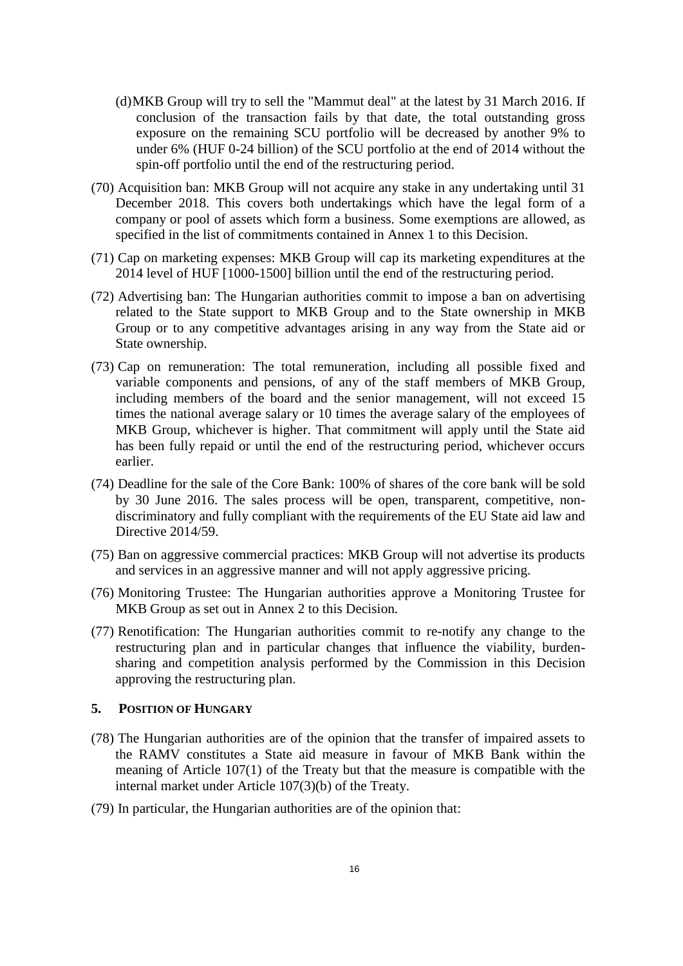- (d)MKB Group will try to sell the "Mammut deal" at the latest by 31 March 2016. If conclusion of the transaction fails by that date, the total outstanding gross exposure on the remaining SCU portfolio will be decreased by another 9% to under 6% (HUF 0-24 billion) of the SCU portfolio at the end of 2014 without the spin-off portfolio until the end of the restructuring period.
- (70) Acquisition ban: MKB Group will not acquire any stake in any undertaking until 31 December 2018. This covers both undertakings which have the legal form of a company or pool of assets which form a business. Some exemptions are allowed, as specified in the list of commitments contained in Annex 1 to this Decision.
- (71) Cap on marketing expenses: MKB Group will cap its marketing expenditures at the 2014 level of HUF [1000-1500] billion until the end of the restructuring period.
- (72) Advertising ban: The Hungarian authorities commit to impose a ban on advertising related to the State support to MKB Group and to the State ownership in MKB Group or to any competitive advantages arising in any way from the State aid or State ownership.
- (73) Cap on remuneration: The total remuneration, including all possible fixed and variable components and pensions, of any of the staff members of MKB Group, including members of the board and the senior management, will not exceed 15 times the national average salary or 10 times the average salary of the employees of MKB Group, whichever is higher. That commitment will apply until the State aid has been fully repaid or until the end of the restructuring period, whichever occurs earlier.
- (74) Deadline for the sale of the Core Bank: 100% of shares of the core bank will be sold by 30 June 2016. The sales process will be open, transparent, competitive, nondiscriminatory and fully compliant with the requirements of the EU State aid law and Directive 2014/59.
- (75) Ban on aggressive commercial practices: MKB Group will not advertise its products and services in an aggressive manner and will not apply aggressive pricing.
- (76) Monitoring Trustee: The Hungarian authorities approve a Monitoring Trustee for MKB Group as set out in Annex 2 to this Decision.
- <span id="page-15-0"></span>(77) Renotification: The Hungarian authorities commit to re-notify any change to the restructuring plan and in particular changes that influence the viability, burdensharing and competition analysis performed by the Commission in this Decision approving the restructuring plan.

# **5. POSITION OF HUNGARY**

- (78) The Hungarian authorities are of the opinion that the transfer of impaired assets to the RAMV constitutes a State aid measure in favour of MKB Bank within the meaning of Article 107(1) of the Treaty but that the measure is compatible with the internal market under Article 107(3)(b) of the Treaty.
- (79) In particular, the Hungarian authorities are of the opinion that: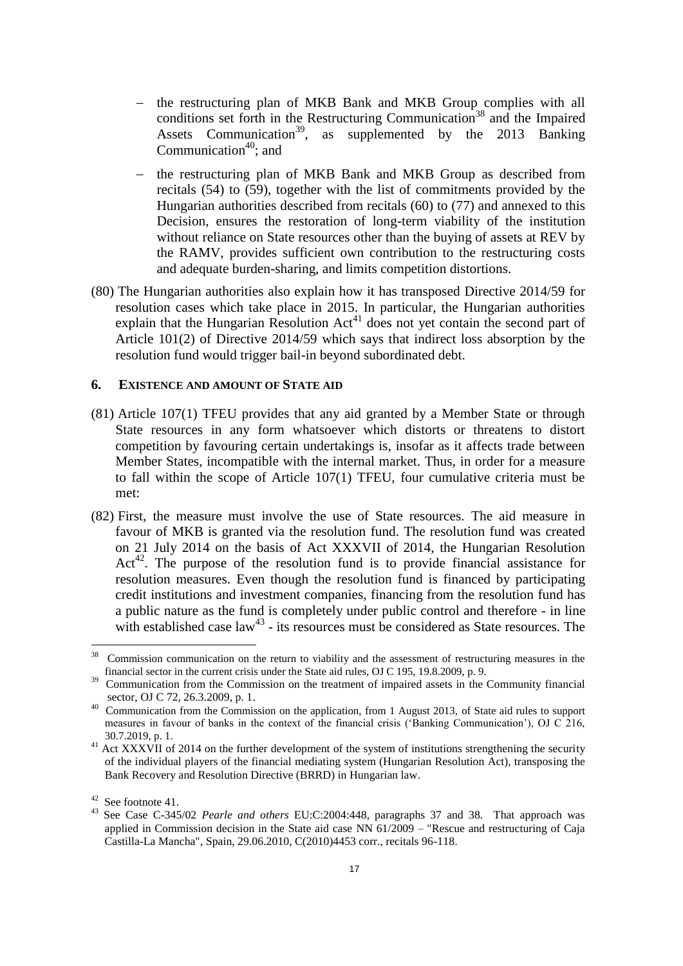- the restructuring plan of MKB Bank and MKB Group complies with all conditions set forth in the Restructuring Communication<sup>38</sup> and the Impaired Assets Communication<sup>39</sup>, as supplemented by the 2013 Banking Communication<sup>40</sup>; and
- the restructuring plan of MKB Bank and MKB Group as described from recitals [\(54\)](#page-11-0) to [\(59\),](#page-12-0) together with the list of commitments provided by the Hungarian authorities described from recitals [\(60\)](#page-12-1) to [\(77\)](#page-15-0) and annexed to this Decision, ensures the restoration of long-term viability of the institution without reliance on State resources other than the buying of assets at REV by the RAMV, provides sufficient own contribution to the restructuring costs and adequate burden-sharing, and limits competition distortions.
- <span id="page-16-0"></span>(80) The Hungarian authorities also explain how it has transposed Directive 2014/59 for resolution cases which take place in 2015. In particular, the Hungarian authorities explain that the Hungarian Resolution  $Act^{41}$  does not yet contain the second part of Article 101(2) of Directive 2014/59 which says that indirect loss absorption by the resolution fund would trigger bail-in beyond subordinated debt.

### **6. EXISTENCE AND AMOUNT OF STATE AID**

- (81) Article 107(1) TFEU provides that any aid granted by a Member State or through State resources in any form whatsoever which distorts or threatens to distort competition by favouring certain undertakings is, insofar as it affects trade between Member States, incompatible with the internal market. Thus, in order for a measure to fall within the scope of Article 107(1) TFEU, four cumulative criteria must be met:
- (82) First, the measure must involve the use of State resources. The aid measure in favour of MKB is granted via the resolution fund. The resolution fund was created on 21 July 2014 on the basis of Act XXXVII of 2014, the Hungarian Resolution Act<sup>42</sup>. The purpose of the resolution fund is to provide financial assistance for resolution measures. Even though the resolution fund is financed by participating credit institutions and investment companies, financing from the resolution fund has a public nature as the fund is completely under public control and therefore - in line with established case  $law^{43}$  - its resources must be considered as State resources. The

 $\frac{1}{38}$  Commission communication on the return to viability and the assessment of restructuring measures in the financial sector in the current crisis under the State aid rules, OJ C 195, 19.8.2009, p. 9.

<sup>&</sup>lt;sup>39</sup> Communication from the Commission on the treatment of impaired assets in the Community financial sector, OJ C 72, 26.3.2009, p. 1.

<sup>40</sup> Communication from the Commission on the application, from 1 August 2013, of State aid rules to support measures in favour of banks in the context of the financial crisis ('Banking Communication'), OJ C 216, 30.7.2019, p. 1.

 $41$  Act XXXVII of 2014 on the further development of the system of institutions strengthening the security of the individual players of the financial mediating system (Hungarian Resolution Act), transposing the Bank Recovery and Resolution Directive (BRRD) in Hungarian law.

<sup>42</sup> See footnot[e 41.](#page-16-0)

<sup>43</sup> See Case C-345/02 *Pearle and others* EU:C:2004:448, paragraphs 37 and 38. That approach was applied in Commission decision in the State aid case NN 61/2009 – "Rescue and restructuring of Caja Castilla-La Mancha", Spain, 29.06.2010, C(2010)4453 corr., recitals 96-118.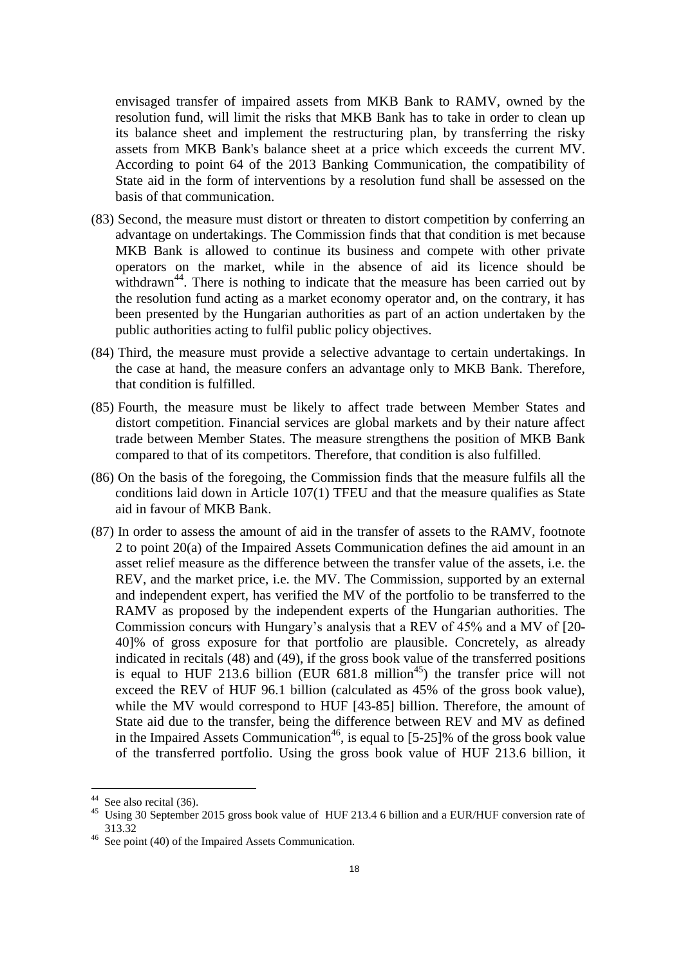envisaged transfer of impaired assets from MKB Bank to RAMV, owned by the resolution fund, will limit the risks that MKB Bank has to take in order to clean up its balance sheet and implement the restructuring plan, by transferring the risky assets from MKB Bank's balance sheet at a price which exceeds the current MV. According to point 64 of the 2013 Banking Communication, the compatibility of State aid in the form of interventions by a resolution fund shall be assessed on the basis of that communication.

- (83) Second, the measure must distort or threaten to distort competition by conferring an advantage on undertakings. The Commission finds that that condition is met because MKB Bank is allowed to continue its business and compete with other private operators on the market, while in the absence of aid its licence should be withdrawn<sup>44</sup>. There is nothing to indicate that the measure has been carried out by the resolution fund acting as a market economy operator and, on the contrary, it has been presented by the Hungarian authorities as part of an action undertaken by the public authorities acting to fulfil public policy objectives.
- (84) Third, the measure must provide a selective advantage to certain undertakings. In the case at hand, the measure confers an advantage only to MKB Bank. Therefore, that condition is fulfilled.
- (85) Fourth, the measure must be likely to affect trade between Member States and distort competition. Financial services are global markets and by their nature affect trade between Member States. The measure strengthens the position of MKB Bank compared to that of its competitors. Therefore, that condition is also fulfilled.
- (86) On the basis of the foregoing, the Commission finds that the measure fulfils all the conditions laid down in Article 107(1) TFEU and that the measure qualifies as State aid in favour of MKB Bank.
- <span id="page-17-0"></span>(87) In order to assess the amount of aid in the transfer of assets to the RAMV, footnote 2 to point 20(a) of the Impaired Assets Communication defines the aid amount in an asset relief measure as the difference between the transfer value of the assets, i.e. the REV, and the market price, i.e. the MV. The Commission, supported by an external and independent expert, has verified the MV of the portfolio to be transferred to the RAMV as proposed by the independent experts of the Hungarian authorities. The Commission concurs with Hungary's analysis that a REV of 45% and a MV of [20- 40]% of gross exposure for that portfolio are plausible. Concretely, as already indicated in recitals (48) and (49), if the gross book value of the transferred positions is equal to HUF 213.6 billion (EUR  $681.8$  million<sup>45</sup>) the transfer price will not exceed the REV of HUF 96.1 billion (calculated as 45% of the gross book value), while the MV would correspond to HUF [43-85] billion. Therefore, the amount of State aid due to the transfer, being the difference between REV and MV as defined in the Impaired Assets Communication<sup>46</sup>, is equal to  $[5-25]\%$  of the gross book value of the transferred portfolio. Using the gross book value of HUF 213.6 billion, it

<u>.</u>

 $44$  See also recital [\(36\).](#page-7-1)

<sup>&</sup>lt;sup>45</sup> Using 30 September 2015 gross book value of HUF 213.4 6 billion and a EUR/HUF conversion rate of 313.32

<sup>&</sup>lt;sup>46</sup> See point (40) of the Impaired Assets Communication.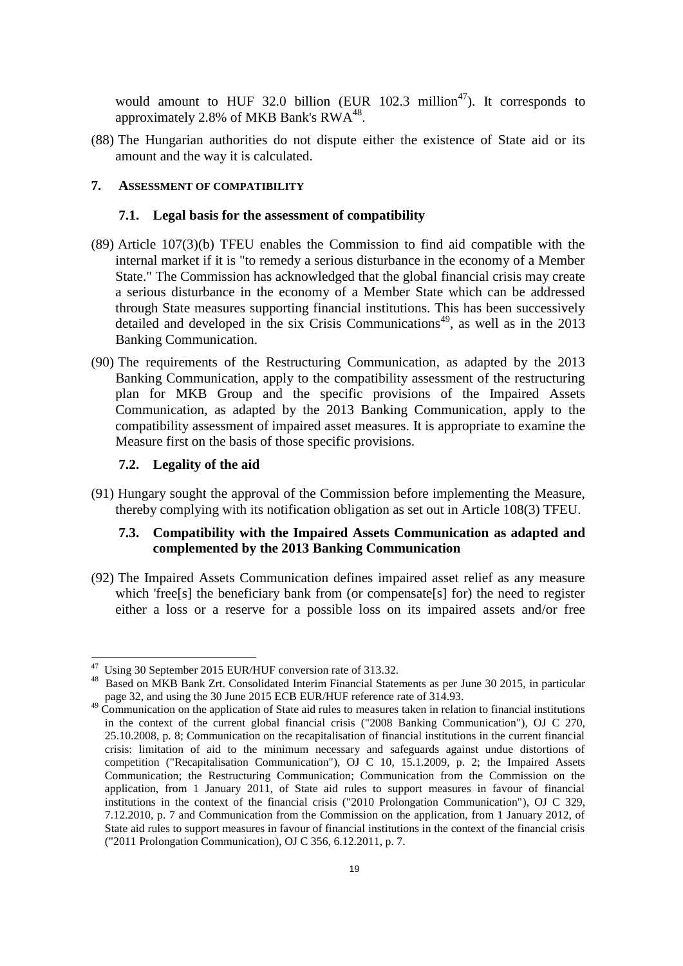would amount to HUF 32.0 billion (EUR 102.3 million<sup>47</sup>). It corresponds to approximately 2.8% of MKB Bank's  $RWA^{48}$ .

(88) The Hungarian authorities do not dispute either the existence of State aid or its amount and the way it is calculated.

# **7. ASSESSMENT OF COMPATIBILITY**

#### **7.1. Legal basis for the assessment of compatibility**

- (89) Article 107(3)(b) TFEU enables the Commission to find aid compatible with the internal market if it is "to remedy a serious disturbance in the economy of a Member State." The Commission has acknowledged that the global financial crisis may create a serious disturbance in the economy of a Member State which can be addressed through State measures supporting financial institutions. This has been successively detailed and developed in the six Crisis Communications<sup>49</sup>, as well as in the 2013 Banking Communication.
- (90) The requirements of the Restructuring Communication, as adapted by the 2013 Banking Communication, apply to the compatibility assessment of the restructuring plan for MKB Group and the specific provisions of the Impaired Assets Communication, as adapted by the 2013 Banking Communication, apply to the compatibility assessment of impaired asset measures. It is appropriate to examine the Measure first on the basis of those specific provisions.

## **7.2. Legality of the aid**

(91) Hungary sought the approval of the Commission before implementing the Measure, thereby complying with its notification obligation as set out in Article 108(3) TFEU.

# **7.3. Compatibility with the Impaired Assets Communication as adapted and complemented by the 2013 Banking Communication**

(92) The Impaired Assets Communication defines impaired asset relief as any measure which 'free[s] the beneficiary bank from (or compensate[s] for) the need to register either a loss or a reserve for a possible loss on its impaired assets and/or free

 47 Using 30 September 2015 EUR/HUF conversion rate of 313.32.

<sup>&</sup>lt;sup>48</sup> Based on MKB Bank Zrt. Consolidated Interim Financial Statements as per June 30 2015, in particular page 32, and using the 30 June 2015 ECB EUR/HUF reference rate of 314.93.

<sup>&</sup>lt;sup>49</sup> Communication on the application of State aid rules to measures taken in relation to financial institutions in the context of the current global financial crisis ("2008 Banking Communication"), OJ C 270, 25.10.2008, p. 8; Communication on the recapitalisation of financial institutions in the current financial crisis: limitation of aid to the minimum necessary and safeguards against undue distortions of competition ("Recapitalisation Communication"), OJ C 10, 15.1.2009, p. 2; the Impaired Assets Communication; the Restructuring Communication; Communication from the Commission on the application, from 1 January 2011, of State aid rules to support measures in favour of financial institutions in the context of the financial crisis ("2010 Prolongation Communication"), OJ C 329, 7.12.2010, p. 7 and Communication from the Commission on the application, from 1 January 2012, of State aid rules to support measures in favour of financial institutions in the context of the financial crisis ("2011 Prolongation Communication), OJ C 356, 6.12.2011, p. 7.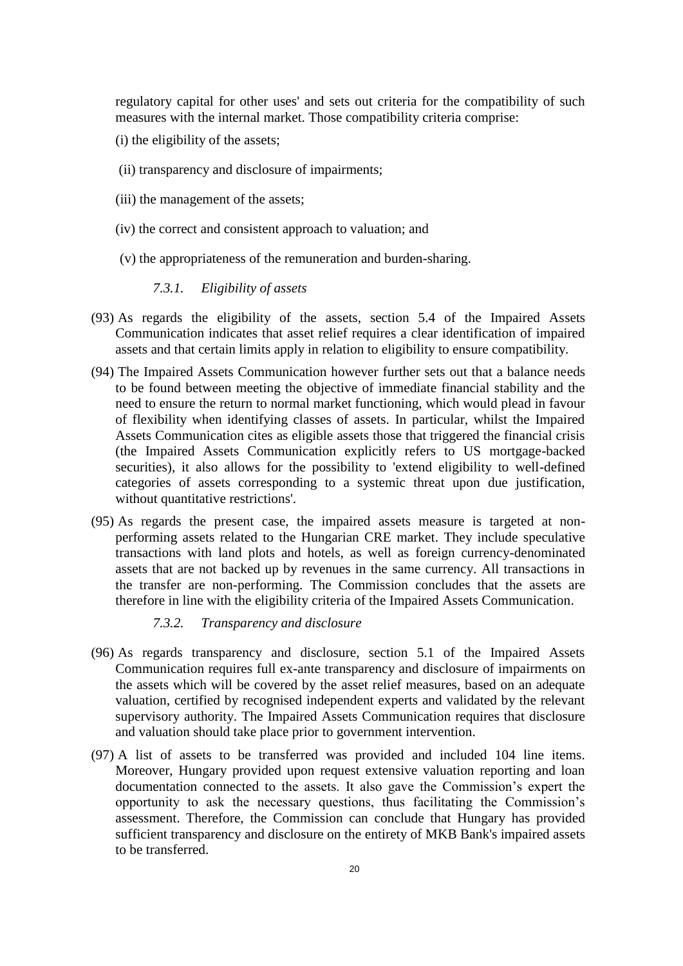regulatory capital for other uses' and sets out criteria for the compatibility of such measures with the internal market. Those compatibility criteria comprise:

- (i) the eligibility of the assets;
- (ii) transparency and disclosure of impairments;
- (iii) the management of the assets;
- (iv) the correct and consistent approach to valuation; and
- (v) the appropriateness of the remuneration and burden-sharing.

## *7.3.1. Eligibility of assets*

- (93) As regards the eligibility of the assets, section 5.4 of the Impaired Assets Communication indicates that asset relief requires a clear identification of impaired assets and that certain limits apply in relation to eligibility to ensure compatibility.
- (94) The Impaired Assets Communication however further sets out that a balance needs to be found between meeting the objective of immediate financial stability and the need to ensure the return to normal market functioning, which would plead in favour of flexibility when identifying classes of assets. In particular, whilst the Impaired Assets Communication cites as eligible assets those that triggered the financial crisis (the Impaired Assets Communication explicitly refers to US mortgage-backed securities), it also allows for the possibility to 'extend eligibility to well-defined categories of assets corresponding to a systemic threat upon due justification, without quantitative restrictions'.
- (95) As regards the present case, the impaired assets measure is targeted at nonperforming assets related to the Hungarian CRE market. They include speculative transactions with land plots and hotels, as well as foreign currency-denominated assets that are not backed up by revenues in the same currency. All transactions in the transfer are non-performing. The Commission concludes that the assets are therefore in line with the eligibility criteria of the Impaired Assets Communication.
	- *7.3.2. Transparency and disclosure*
- (96) As regards transparency and disclosure, section 5.1 of the Impaired Assets Communication requires full ex-ante transparency and disclosure of impairments on the assets which will be covered by the asset relief measures, based on an adequate valuation, certified by recognised independent experts and validated by the relevant supervisory authority. The Impaired Assets Communication requires that disclosure and valuation should take place prior to government intervention.
- (97) A list of assets to be transferred was provided and included 104 line items. Moreover, Hungary provided upon request extensive valuation reporting and loan documentation connected to the assets. It also gave the Commission's expert the opportunity to ask the necessary questions, thus facilitating the Commission's assessment. Therefore, the Commission can conclude that Hungary has provided sufficient transparency and disclosure on the entirety of MKB Bank's impaired assets to be transferred.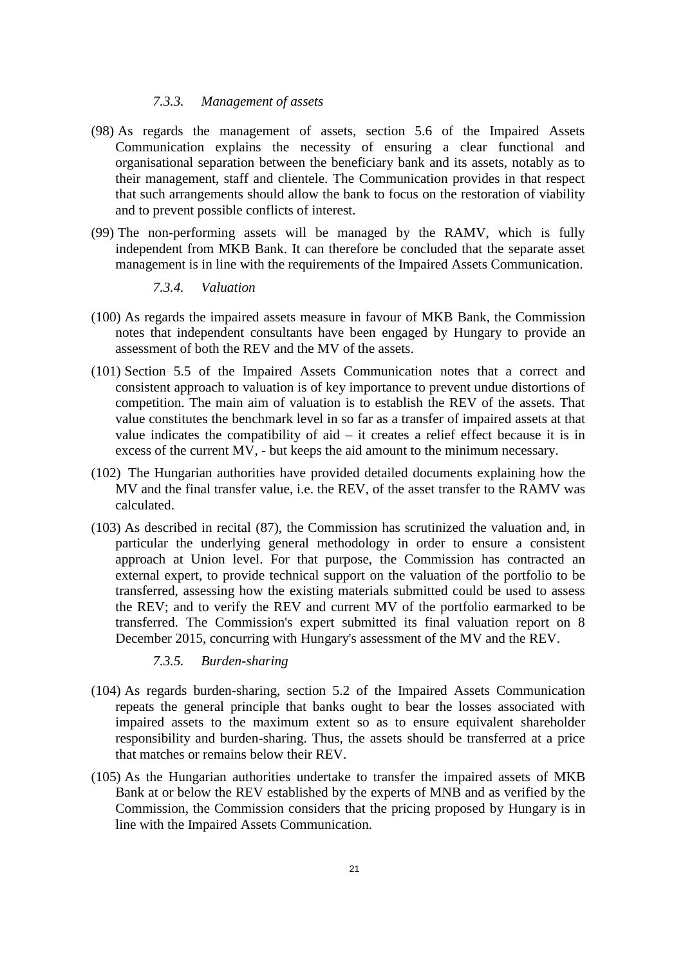#### *7.3.3. Management of assets*

- (98) As regards the management of assets, section 5.6 of the Impaired Assets Communication explains the necessity of ensuring a clear functional and organisational separation between the beneficiary bank and its assets, notably as to their management, staff and clientele. The Communication provides in that respect that such arrangements should allow the bank to focus on the restoration of viability and to prevent possible conflicts of interest.
- (99) The non-performing assets will be managed by the RAMV, which is fully independent from MKB Bank. It can therefore be concluded that the separate asset management is in line with the requirements of the Impaired Assets Communication.
	- *7.3.4. Valuation*
- (100) As regards the impaired assets measure in favour of MKB Bank, the Commission notes that independent consultants have been engaged by Hungary to provide an assessment of both the REV and the MV of the assets.
- (101) Section 5.5 of the Impaired Assets Communication notes that a correct and consistent approach to valuation is of key importance to prevent undue distortions of competition. The main aim of valuation is to establish the REV of the assets. That value constitutes the benchmark level in so far as a transfer of impaired assets at that value indicates the compatibility of  $aid - it$  creates a relief effect because it is in excess of the current MV, - but keeps the aid amount to the minimum necessary.
- (102) The Hungarian authorities have provided detailed documents explaining how the MV and the final transfer value, i.e. the REV, of the asset transfer to the RAMV was calculated.
- (103) As described in recital [\(87\),](#page-17-0) the Commission has scrutinized the valuation and, in particular the underlying general methodology in order to ensure a consistent approach at Union level. For that purpose, the Commission has contracted an external expert, to provide technical support on the valuation of the portfolio to be transferred, assessing how the existing materials submitted could be used to assess the REV; and to verify the REV and current MV of the portfolio earmarked to be transferred. The Commission's expert submitted its final valuation report on 8 December 2015, concurring with Hungary's assessment of the MV and the REV.
	- *7.3.5. Burden-sharing*
- (104) As regards burden-sharing, section 5.2 of the Impaired Assets Communication repeats the general principle that banks ought to bear the losses associated with impaired assets to the maximum extent so as to ensure equivalent shareholder responsibility and burden-sharing. Thus, the assets should be transferred at a price that matches or remains below their REV.
- (105) As the Hungarian authorities undertake to transfer the impaired assets of MKB Bank at or below the REV established by the experts of MNB and as verified by the Commission, the Commission considers that the pricing proposed by Hungary is in line with the Impaired Assets Communication.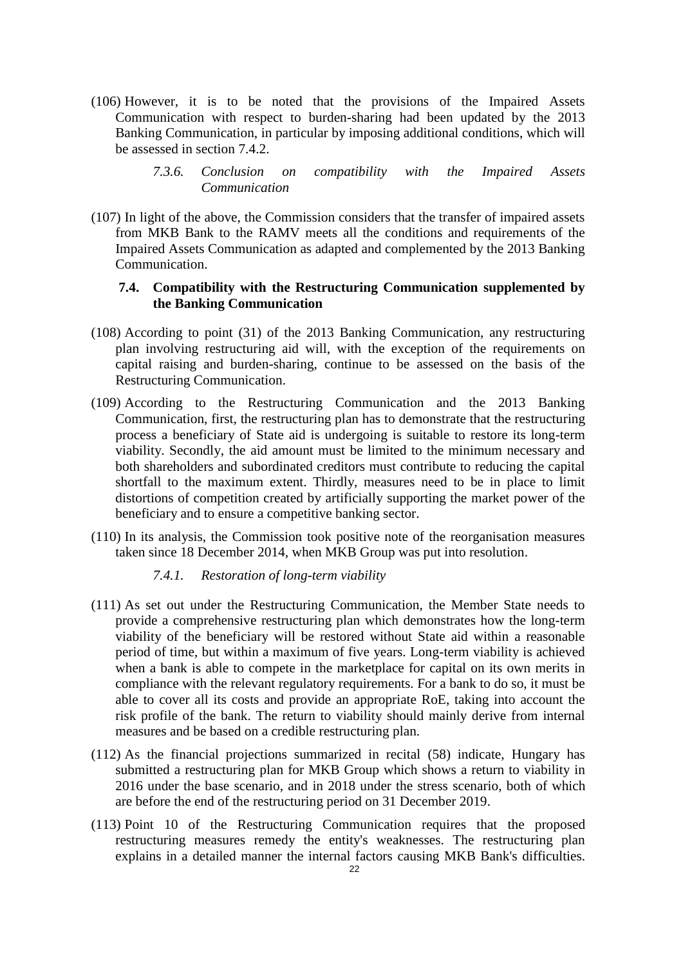- (106) However, it is to be noted that the provisions of the Impaired Assets Communication with respect to burden-sharing had been updated by the 2013 Banking Communication, in particular by imposing additional conditions, which will be assessed in section [7.4.2.](#page-22-0)
	- *7.3.6. Conclusion on compatibility with the Impaired Assets Communication*
- (107) In light of the above, the Commission considers that the transfer of impaired assets from MKB Bank to the RAMV meets all the conditions and requirements of the Impaired Assets Communication as adapted and complemented by the 2013 Banking Communication.

# **7.4. Compatibility with the Restructuring Communication supplemented by the Banking Communication**

- (108) According to point (31) of the 2013 Banking Communication, any restructuring plan involving restructuring aid will, with the exception of the requirements on capital raising and burden-sharing, continue to be assessed on the basis of the Restructuring Communication.
- (109) According to the Restructuring Communication and the 2013 Banking Communication, first, the restructuring plan has to demonstrate that the restructuring process a beneficiary of State aid is undergoing is suitable to restore its long-term viability. Secondly, the aid amount must be limited to the minimum necessary and both shareholders and subordinated creditors must contribute to reducing the capital shortfall to the maximum extent. Thirdly, measures need to be in place to limit distortions of competition created by artificially supporting the market power of the beneficiary and to ensure a competitive banking sector.
- (110) In its analysis, the Commission took positive note of the reorganisation measures taken since 18 December 2014, when MKB Group was put into resolution.

## *7.4.1. Restoration of long-term viability*

- (111) As set out under the Restructuring Communication, the Member State needs to provide a comprehensive restructuring plan which demonstrates how the long-term viability of the beneficiary will be restored without State aid within a reasonable period of time, but within a maximum of five years. Long-term viability is achieved when a bank is able to compete in the marketplace for capital on its own merits in compliance with the relevant regulatory requirements. For a bank to do so, it must be able to cover all its costs and provide an appropriate RoE, taking into account the risk profile of the bank. The return to viability should mainly derive from internal measures and be based on a credible restructuring plan.
- (112) As the financial projections summarized in recital [\(58\)](#page-11-1) indicate, Hungary has submitted a restructuring plan for MKB Group which shows a return to viability in 2016 under the base scenario, and in 2018 under the stress scenario, both of which are before the end of the restructuring period on 31 December 2019.
- (113) Point 10 of the Restructuring Communication requires that the proposed restructuring measures remedy the entity's weaknesses. The restructuring plan explains in a detailed manner the internal factors causing MKB Bank's difficulties.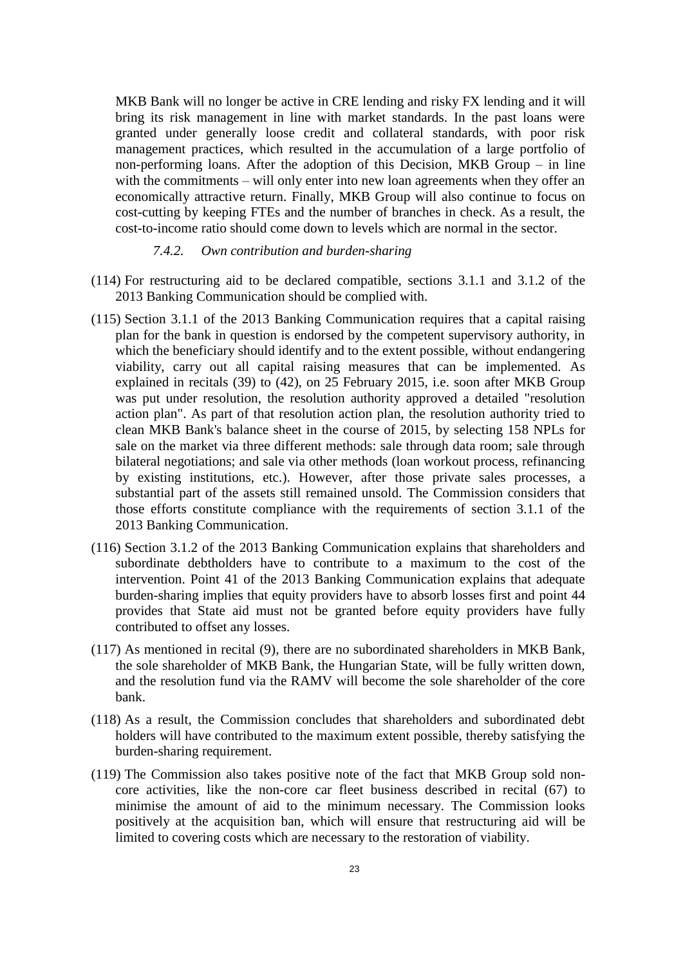MKB Bank will no longer be active in CRE lending and risky FX lending and it will bring its risk management in line with market standards. In the past loans were granted under generally loose credit and collateral standards, with poor risk management practices, which resulted in the accumulation of a large portfolio of non-performing loans. After the adoption of this Decision, MKB Group – in line with the commitments – will only enter into new loan agreements when they offer an economically attractive return. Finally, MKB Group will also continue to focus on cost-cutting by keeping FTEs and the number of branches in check. As a result, the cost-to-income ratio should come down to levels which are normal in the sector.

#### *7.4.2. Own contribution and burden-sharing*

- <span id="page-22-0"></span>(114) For restructuring aid to be declared compatible, sections 3.1.1 and 3.1.2 of the 2013 Banking Communication should be complied with.
- (115) Section 3.1.1 of the 2013 Banking Communication requires that a capital raising plan for the bank in question is endorsed by the competent supervisory authority, in which the beneficiary should identify and to the extent possible, without endangering viability, carry out all capital raising measures that can be implemented. As explained in recitals [\(39\)](#page-7-2) to [\(42\),](#page-8-1) on 25 February 2015, i.e. soon after MKB Group was put under resolution, the resolution authority approved a detailed "resolution action plan". As part of that resolution action plan, the resolution authority tried to clean MKB Bank's balance sheet in the course of 2015, by selecting 158 NPLs for sale on the market via three different methods: sale through data room; sale through bilateral negotiations; and sale via other methods (loan workout process, refinancing by existing institutions, etc.). However, after those private sales processes, a substantial part of the assets still remained unsold. The Commission considers that those efforts constitute compliance with the requirements of section 3.1.1 of the 2013 Banking Communication.
- (116) Section 3.1.2 of the 2013 Banking Communication explains that shareholders and subordinate debtholders have to contribute to a maximum to the cost of the intervention. Point 41 of the 2013 Banking Communication explains that adequate burden-sharing implies that equity providers have to absorb losses first and point 44 provides that State aid must not be granted before equity providers have fully contributed to offset any losses.
- (117) As mentioned in recital [\(9\),](#page-1-0) there are no subordinated shareholders in MKB Bank, the sole shareholder of MKB Bank, the Hungarian State, will be fully written down, and the resolution fund via the RAMV will become the sole shareholder of the core bank.
- (118) As a result, the Commission concludes that shareholders and subordinated debt holders will have contributed to the maximum extent possible, thereby satisfying the burden-sharing requirement.
- (119) The Commission also takes positive note of the fact that MKB Group sold noncore activities, like the non-core car fleet business described in recital [\(67\)](#page-14-0) to minimise the amount of aid to the minimum necessary. The Commission looks positively at the acquisition ban, which will ensure that restructuring aid will be limited to covering costs which are necessary to the restoration of viability.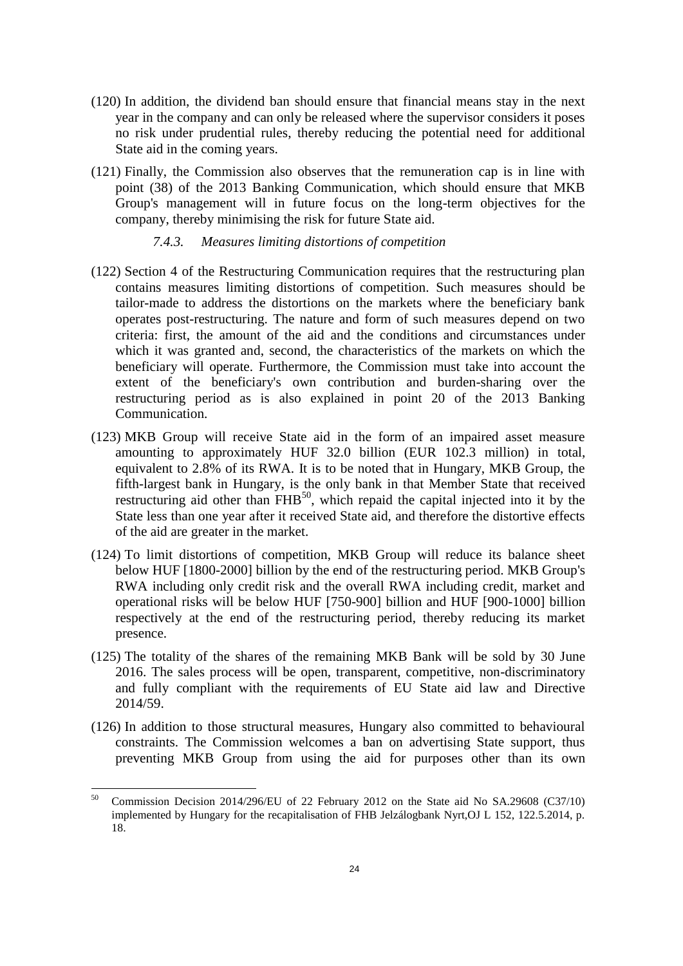- (120) In addition, the dividend ban should ensure that financial means stay in the next year in the company and can only be released where the supervisor considers it poses no risk under prudential rules, thereby reducing the potential need for additional State aid in the coming years.
- (121) Finally, the Commission also observes that the remuneration cap is in line with point (38) of the 2013 Banking Communication, which should ensure that MKB Group's management will in future focus on the long-term objectives for the company, thereby minimising the risk for future State aid.

## *7.4.3. Measures limiting distortions of competition*

- (122) Section 4 of the Restructuring Communication requires that the restructuring plan contains measures limiting distortions of competition. Such measures should be tailor-made to address the distortions on the markets where the beneficiary bank operates post-restructuring. The nature and form of such measures depend on two criteria: first, the amount of the aid and the conditions and circumstances under which it was granted and, second, the characteristics of the markets on which the beneficiary will operate. Furthermore, the Commission must take into account the extent of the beneficiary's own contribution and burden-sharing over the restructuring period as is also explained in point 20 of the 2013 Banking Communication.
- (123) MKB Group will receive State aid in the form of an impaired asset measure amounting to approximately HUF 32.0 billion (EUR 102.3 million) in total, equivalent to 2.8% of its RWA. It is to be noted that in Hungary, MKB Group, the fifth-largest bank in Hungary, is the only bank in that Member State that received restructuring aid other than  $FHB^{50}$ , which repaid the capital injected into it by the State less than one year after it received State aid, and therefore the distortive effects of the aid are greater in the market.
- (124) To limit distortions of competition, MKB Group will reduce its balance sheet below HUF [1800-2000] billion by the end of the restructuring period. MKB Group's RWA including only credit risk and the overall RWA including credit, market and operational risks will be below HUF [750-900] billion and HUF [900-1000] billion respectively at the end of the restructuring period, thereby reducing its market presence.
- (125) The totality of the shares of the remaining MKB Bank will be sold by 30 June 2016. The sales process will be open, transparent, competitive, non-discriminatory and fully compliant with the requirements of EU State aid law and Directive 2014/59.
- (126) In addition to those structural measures, Hungary also committed to behavioural constraints. The Commission welcomes a ban on advertising State support, thus preventing MKB Group from using the aid for purposes other than its own

<sup>50</sup> <sup>50</sup> Commission Decision 2014/296/EU of 22 February 2012 on the State aid No SA.29608 (C37/10) implemented by Hungary for the recapitalisation of FHB Jelzálogbank Nyrt,OJ L 152, 122.5.2014, p. 18.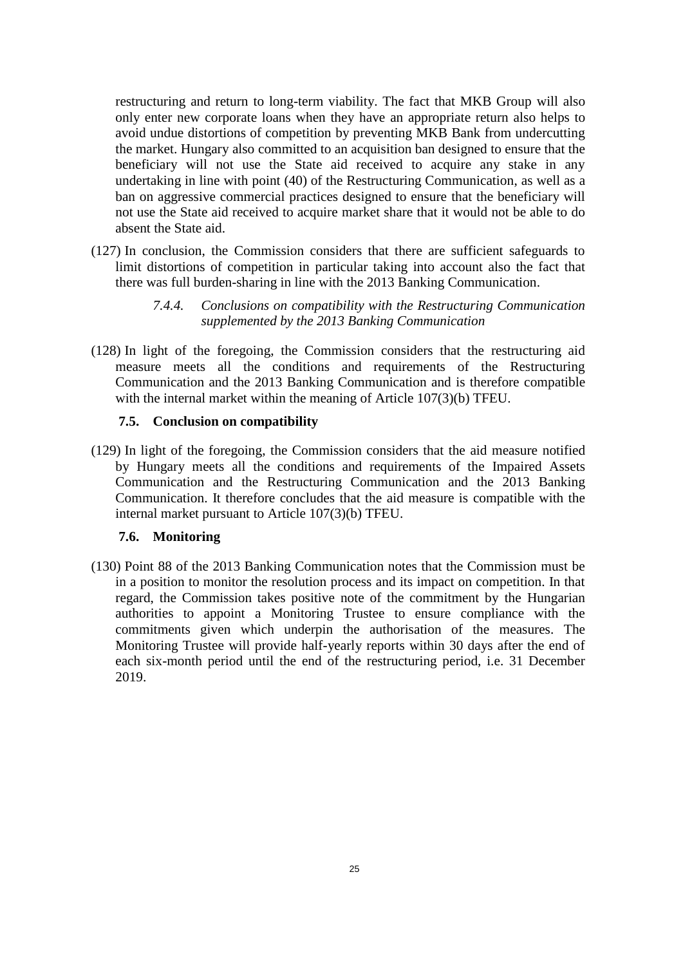restructuring and return to long-term viability. The fact that MKB Group will also only enter new corporate loans when they have an appropriate return also helps to avoid undue distortions of competition by preventing MKB Bank from undercutting the market. Hungary also committed to an acquisition ban designed to ensure that the beneficiary will not use the State aid received to acquire any stake in any undertaking in line with point (40) of the Restructuring Communication, as well as a ban on aggressive commercial practices designed to ensure that the beneficiary will not use the State aid received to acquire market share that it would not be able to do absent the State aid.

- (127) In conclusion, the Commission considers that there are sufficient safeguards to limit distortions of competition in particular taking into account also the fact that there was full burden-sharing in line with the 2013 Banking Communication.
	- *7.4.4. Conclusions on compatibility with the Restructuring Communication supplemented by the 2013 Banking Communication*
- (128) In light of the foregoing, the Commission considers that the restructuring aid measure meets all the conditions and requirements of the Restructuring Communication and the 2013 Banking Communication and is therefore compatible with the internal market within the meaning of Article 107(3)(b) TFEU.

## **7.5. Conclusion on compatibility**

(129) In light of the foregoing, the Commission considers that the aid measure notified by Hungary meets all the conditions and requirements of the Impaired Assets Communication and the Restructuring Communication and the 2013 Banking Communication. It therefore concludes that the aid measure is compatible with the internal market pursuant to Article 107(3)(b) TFEU.

## **7.6. Monitoring**

(130) Point 88 of the 2013 Banking Communication notes that the Commission must be in a position to monitor the resolution process and its impact on competition. In that regard, the Commission takes positive note of the commitment by the Hungarian authorities to appoint a Monitoring Trustee to ensure compliance with the commitments given which underpin the authorisation of the measures. The Monitoring Trustee will provide half-yearly reports within 30 days after the end of each six-month period until the end of the restructuring period, i.e. 31 December 2019.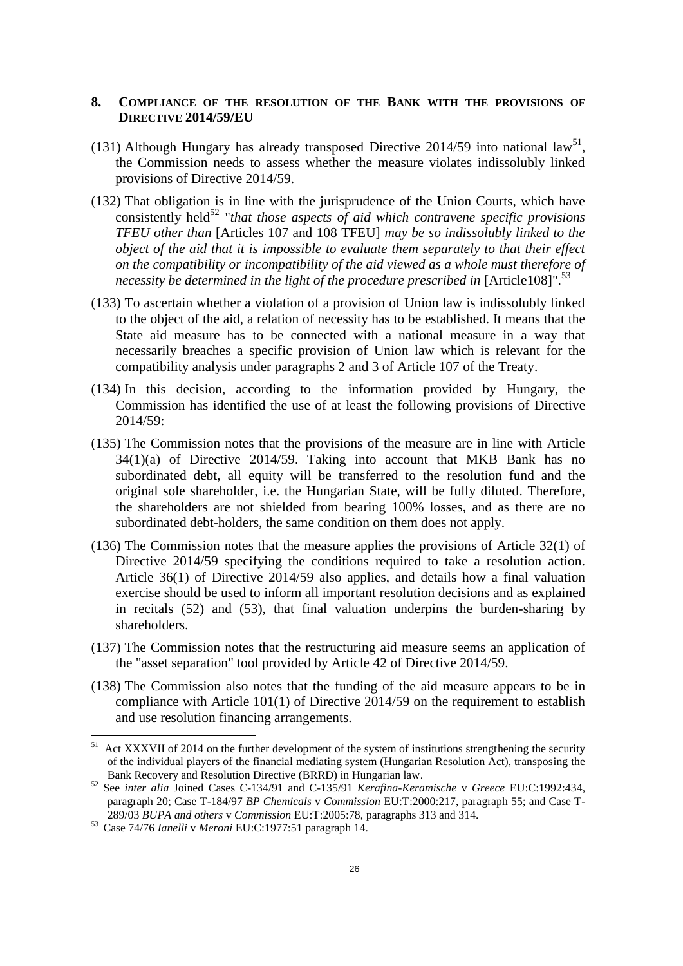## **8. COMPLIANCE OF THE RESOLUTION OF THE BANK WITH THE PROVISIONS OF DIRECTIVE 2014/59/EU**

- (131) Although Hungary has already transposed Directive 2014/59 into national law<sup>51</sup>, the Commission needs to assess whether the measure violates indissolubly linked provisions of Directive 2014/59.
- (132) That obligation is in line with the jurisprudence of the Union Courts, which have consistently held<sup>52</sup> "*that those aspects of aid which contravene specific provisions TFEU other than* [Articles 107 and 108 TFEU] *may be so indissolubly linked to the object of the aid that it is impossible to evaluate them separately to that their effect on the compatibility or incompatibility of the aid viewed as a whole must therefore of necessity be determined in the light of the procedure prescribed in* [Article108]".<sup>53</sup>
- (133) To ascertain whether a violation of a provision of Union law is indissolubly linked to the object of the aid, a relation of necessity has to be established. It means that the State aid measure has to be connected with a national measure in a way that necessarily breaches a specific provision of Union law which is relevant for the compatibility analysis under paragraphs 2 and 3 of Article 107 of the Treaty.
- (134) In this decision, according to the information provided by Hungary, the Commission has identified the use of at least the following provisions of Directive 2014/59:
- (135) The Commission notes that the provisions of the measure are in line with Article 34(1)(a) of Directive 2014/59. Taking into account that MKB Bank has no subordinated debt, all equity will be transferred to the resolution fund and the original sole shareholder, i.e. the Hungarian State, will be fully diluted. Therefore, the shareholders are not shielded from bearing 100% losses, and as there are no subordinated debt-holders, the same condition on them does not apply.
- (136) The Commission notes that the measure applies the provisions of Article 32(1) of Directive 2014/59 specifying the conditions required to take a resolution action. Article 36(1) of Directive 2014/59 also applies, and details how a final valuation exercise should be used to inform all important resolution decisions and as explained in recitals [\(52\)](#page-10-0) and [\(53\),](#page-11-2) that final valuation underpins the burden-sharing by shareholders.
- (137) The Commission notes that the restructuring aid measure seems an application of the "asset separation" tool provided by Article 42 of Directive 2014/59.
- (138) The Commission also notes that the funding of the aid measure appears to be in compliance with Article 101(1) of Directive 2014/59 on the requirement to establish and use resolution financing arrangements.

 $51\,$ Act XXXVII of 2014 on the further development of the system of institutions strengthening the security of the individual players of the financial mediating system (Hungarian Resolution Act), transposing the Bank Recovery and Resolution Directive (BRRD) in Hungarian law.

<sup>52</sup> See *inter alia* Joined Cases C-134/91 and C-135/91 *Kerafina-Keramische* v *Greece* EU:C:1992:434, paragraph 20; Case T-184/97 *BP Chemicals* v *Commission* EU:T:2000:217, paragraph 55; and Case T-289/03 *BUPA and others* v *Commission* EU:T:2005:78, paragraphs 313 and 314.

<sup>53</sup> Case 74/76 *Ianelli* v *Meroni* EU:C:1977:51 paragraph 14.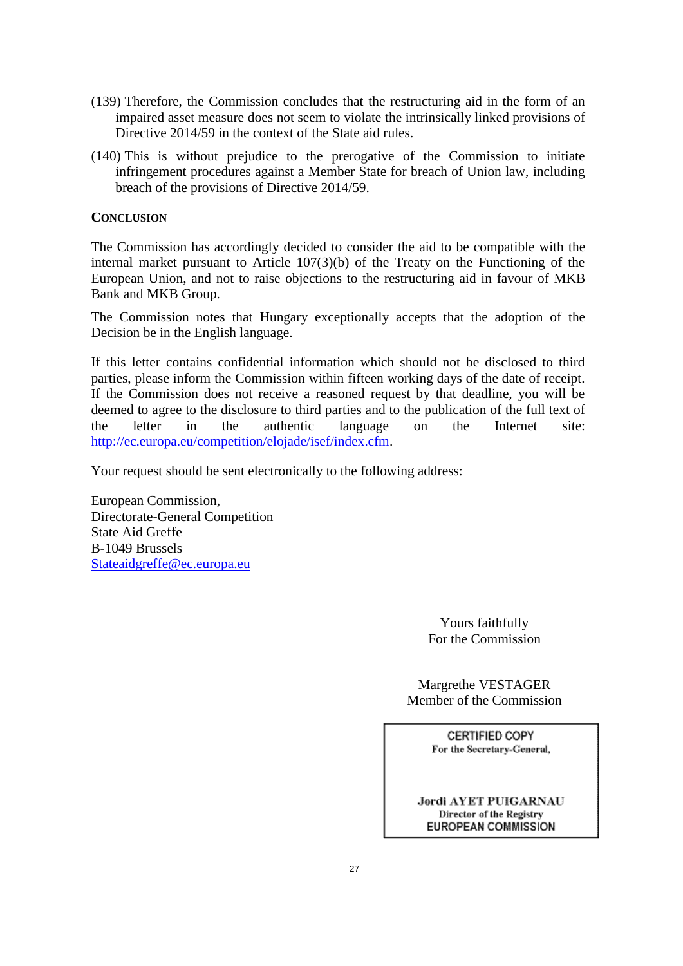- (139) Therefore, the Commission concludes that the restructuring aid in the form of an impaired asset measure does not seem to violate the intrinsically linked provisions of Directive 2014/59 in the context of the State aid rules.
- (140) This is without prejudice to the prerogative of the Commission to initiate infringement procedures against a Member State for breach of Union law, including breach of the provisions of Directive 2014/59.

# **CONCLUSION**

The Commission has accordingly decided to consider the aid to be compatible with the internal market pursuant to Article 107(3)(b) of the Treaty on the Functioning of the European Union, and not to raise objections to the restructuring aid in favour of MKB Bank and MKB Group.

The Commission notes that Hungary exceptionally accepts that the adoption of the Decision be in the English language.

If this letter contains confidential information which should not be disclosed to third parties, please inform the Commission within fifteen working days of the date of receipt. If the Commission does not receive a reasoned request by that deadline, you will be deemed to agree to the disclosure to third parties and to the publication of the full text of the letter in the authentic language on the Internet site: [http://ec.europa.eu/competition/elojade/isef/index.cfm.](http://ec.europa.eu/competition/elojade/isef/index.cfm)

Your request should be sent electronically to the following address:

European Commission, Directorate-General Competition State Aid Greffe B-1049 Brussels [Stateaidgreffe@ec.europa.eu](mailto:Stateaidgreffe@ec.europa.eu)

> Yours faithfully For the Commission

Margrethe VESTAGER Member of the Commission

> **CERTIFIED COPY** For the Secretary-General,

**Jordi AYET PUIGARNAU** Director of the Registry **EUROPEAN COMMISSION**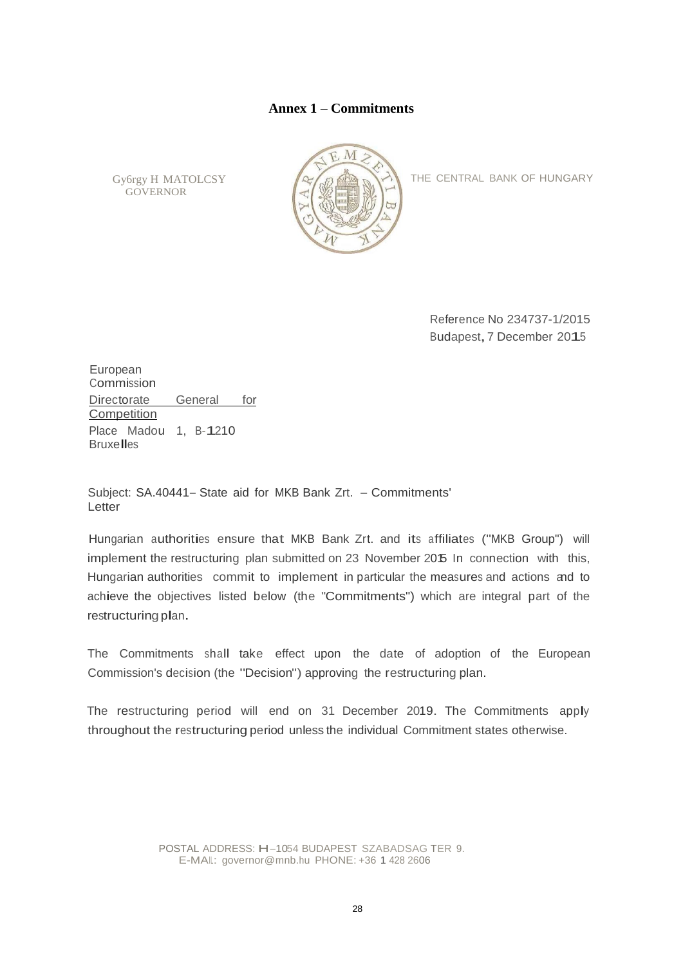## **Annex 1 – Commitments**

Gy6rgy H MATOLCSY **GOVERNOR** 



THE CENTRAL BANK OF HUNGARY

Reference No 234737-1/2015 Budapest,7 December 2015

European Commission Directorate General for **Competition** Place Madou 1, B-1210 **Bruxelles** 

Subject: SA.40441- State aid for MKB Bank Zrt. - Commitments' Letter

Hungarian authorities ensure that MKB Bank Zrt. and its affiliates ("MKB Group") will implement the restructuring plan submitted on 23 November 2015 In connection with this, Hungarian authorities commit to implement in particular the measures and actions and to achieve the objectives listed below (the "Commitments") which are integral part of the restructuring plan.

The Commitments shall take effect upon the date of adoption of the European Commission's decision (the "Decision") approving the restructuring plan.

The restructuring period will end on 31 December 2019. The Commitments apply throughout the restructuring period unless the individual Commitment states otherwise.

> POSTAL ADDRESS: H-1054 BUDAPEST SZABADSAG TER 9. E-MAIL: governor@mnb.hu PHONE: +36 1 428 2606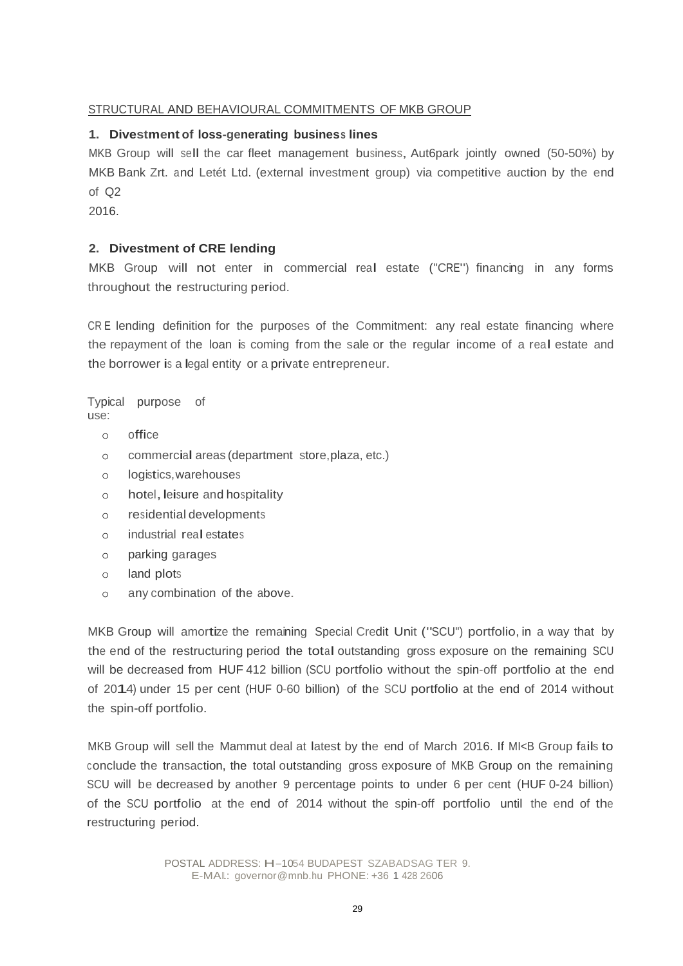# STRUCTURAL AND BEHAVIOURAL COMMITMENTS OF MKB GROUP

# **1. Divestment of loss-generating business lines**

MKB Group will sell the car fleet management business, Aut6park jointly owned (50-50%) by MKB Bank Zrt. and Letét Ltd. (external investment group) via competitive auction by the end of Q2

2016.

# **2. Divestment of CRE lending**

MKB Group will not enter in commercial real estate ("CRE") financing in any forms throughout the restructuring period.

CR E lending definition for the purposes of the Commitment: any real estate financing where the repayment of the loan is coming from the sale or the regular income of <sup>a</sup> real estate and the borrower is <sup>a</sup> legal entity or <sup>a</sup> private entrepreneur.

Typical purpose of use:

- o office
- <sup>o</sup> commercial areas (department store,plaza, etc.)
- o logistics,warehouses
- o hotel, leisure and hospitality
- o residential developments
- <sup>o</sup> industrial real estates
- o parking garages
- o land plots
- o any combination of the above.

MKB Group will amortize the remaining Special Credit Unit ("SCU") portfolio, in <sup>a</sup> way that by the end of the restructuring period the total outstanding gross exposure on the remaining SCU will be decreased from HUF 412 billion (SCU portfolio without the spin-off portfolio at the end of 2014) under <sup>15</sup> per cent (HUF 0-60 billion) of the SCU portfolio at the end of <sup>2014</sup> without the spin-off portfolio.

MKB Group will sell the Mammut deal at latest by the end of March 2016. If MI<B Group fails to conclude the transaction, the total outstanding gross exposure of MKB Group on the remaining SCU will be decreased by another 9 percentage points to under 6 per cent (HUF 0-24 billion) of the SCU portfolio at the end of 2014 without the spin-off portfolio until the end of the restructuring period.

> POSTAL ADDRESS: H-1054 BUDAPEST SZABADSAG TER 9. E-MAIL: governor@mnb.hu PHONE: +36 1 428 2606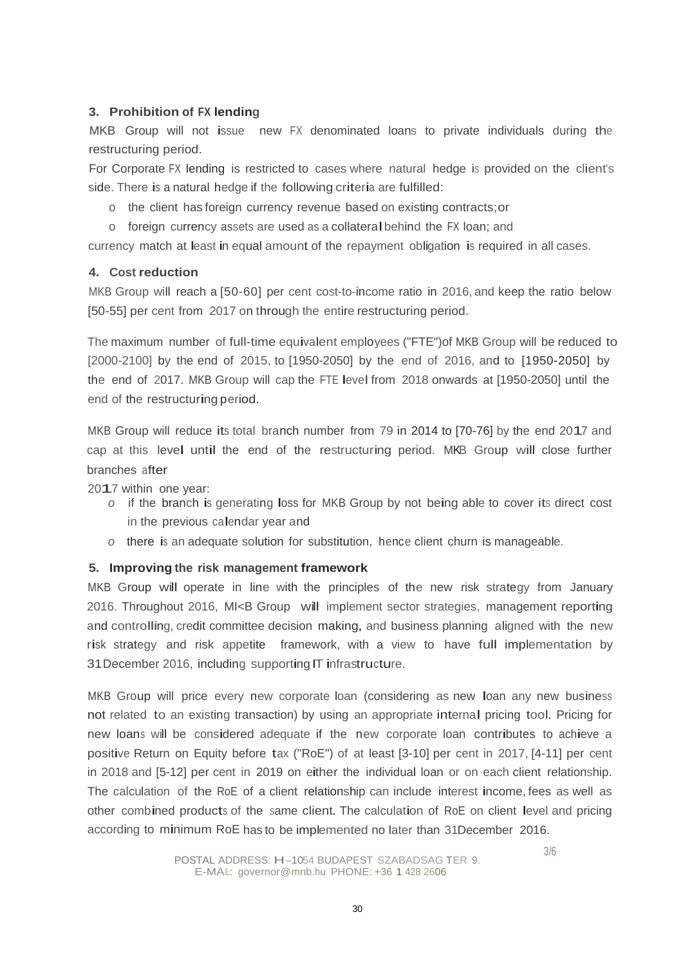# **3. Prohibition of FX lending**

MKB Group will not issue new FX denominated loans to private individuals during the restructuring period.

For Corporate FX lending is restricted to cases where natural hedge is provided on the client's side. There is <sup>a</sup> natural hedge if the following criteria are fulfilled:

- o the client has foreign currency revenue based on existing contracts;or
- <sup>o</sup> foreign currency assets are used as <sup>a</sup> collateralbehind the FX loan; and

currency match at least in equal amount of the repayment obligation is required in all cases.

# **4. Cost reduction**

MKB Group will reach a [50-60] per cent cost-to-income ratio in 2016, and keep the ratio below [50-55] per cent from 2017 on through the entire restructuring period.

The maximum number of full-time equivalent employees ("FTE")of MKB Group will be reduced to [2000-2100] by the end of 2015, to [1950-2050] by the end of 2016, and to [1950-2050] by the end of 2017. MKB Group will cap the FTE level from <sup>2018</sup> onwards at [1950-2050] until the end of the restructuring period.

MKB Group will reduce its total branch number from <sup>79</sup> in 2014 to [70-76] by the end 2017 and cap at this level until the end of the restructuring period. MKB Group will close further branches after

2017 within one year:

- *<sup>o</sup>* if the branch is generating loss for MKB Group by not being able to cover its direct cost in the previous calendar year and
- *<sup>o</sup>* there is an adequate solution for substitution, hence client churn is manageable.

# **5. Improving the risk management framework**

MKB Group will operate in line with the principles of the new risk strategy from January 2016. Throughout 2016, MI<B Group will implement sector strategies, management reporting and controlling, credit committee decision making, and business planning aligned with the new risk strategy and risk appetite framework, with a view to have full implementation by 31December 2016, including supporting IT infrastructure.

MKB Group will price every new corporate loan (considering as new loan any new business not related to an existing transaction) by using an appropriate internal pricing tool. Pricing for new loans will be considered adequate if the new corporate loan contributes to achieve <sup>a</sup> positive Return on Equity before tax ("RoE") of at least [3-10] per cent in 2017, [4-11] per cent in <sup>2018</sup> and [5-12] per cent in <sup>2019</sup> on either the individual loan or on each client relationship. The calculation of the RoE of <sup>a</sup> client relationship can include interest income, fees as well as other combined products of the same client. The calculation of RoE on client level and pricing according to minimum RoE has to be implemented no later than 31December 2016.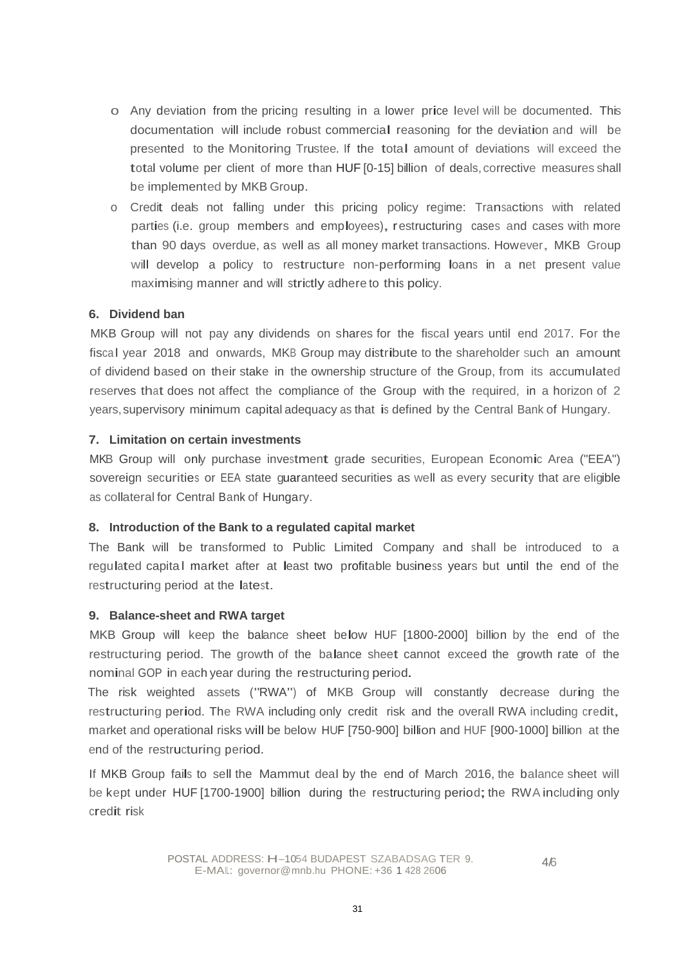- o Any deviation from the pricing resulting in <sup>a</sup> lower price level will be documented. This documentation will include robust commercial reasoning for the deviation and will be presented to the Monitoring Trustee. If the total amount of deviations will exceed the total volume per client of more than HUF [0-15] billion of deals, corrective measures shall be implemented by MKB Group.
- o Credit deals not falling under this pricing policy regime: Transactions with related parties (i.e. group members and employees), restructuring cases and cases with more than 90 days overdue, as well as all money market transactions. However, MKB Group will develop <sup>a</sup> policy to restructure non-performing loans in <sup>a</sup> net present value maximising manner and will strictly adhere to this policy.

# **6. Dividend ban**

MKB Group will not pay any dividends on shares for the fiscal years until end 2017. For the fiscal year 2018 and onwards, MKB Group may distribute to the shareholder such an amount of dividend based on their stake in the ownership structure of the Group, from its accumulated reserves that does not affect the compliance of the Group with the required, in a horizon of 2 years, supervisory minimum capital adequacy as that is defined by the Central Bank of Hungary.

## **7. Limitation on certain investments**

MKB Group will only purchase investment grade securities, European Economic Area ("EEA") sovereign securities or EEA state guaranteed securities as well as every security that are eligible as collateral for Central Bank of Hungary.

# **8. Introduction of the Bank to a regulated capital market**

The Bank will be transformed to Public Limited Company and shall be introduced to a regulated capital market after at least two profitable business years but until the end of the restructuring period at the latest.

## **9. Balance-sheet and RWA target**

MKB Group will keep the balance sheet below HUF [1800-2000] billion by the end of the restructuring period. The growth of the balance sheet cannot exceed the growth rate of the nominal GOP in each year during the restructuring period.

The risk weighted assets ("RWA") of MKB Group will constantly decrease during the restructuring period. The RWA including only credit risk and the overall RWA including credit, market and operational risks will be below HUF [750-900] billion and HUF [900-1000] billion at the end of the restructuring period.

If MKB Group fails to sell the Mammut deal by the end of March 2016, the balance sheet will be kept under HUF [1700-1900] billion during the restructuring period; the RWA including only credit risk

4/6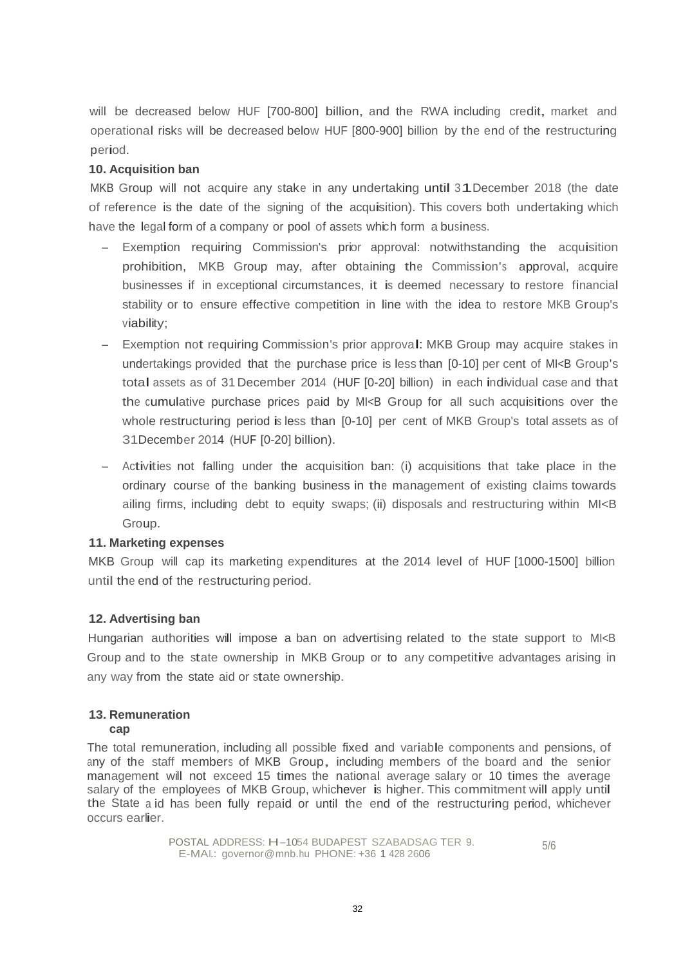will be decreased below HUF [700-800] billion, and the RWA including credit, market and operational risks will be decreased below HUF [800-900] billion by the end of the restructuring period.

# **10. Acquisition ban**

MKB Group will not acquire any stake in any undertaking until 31December <sup>2018</sup> (the date of reference is the date of the signing of the acquisition). This covers both undertaking which have the legal form of a company or pool of assets which form a business.

- Exemption requiring Commission's prior approval: notwithstanding the acquisition prohibition, MKB Group may, after obtaining the Commission's approval, acquire businesses if in exceptional circumstances, it is deemed necessary to restore financial stability or to ensure effective competition in line with the idea to restore MKB Group's viability;
- Exemption not requiring Commission's prior approval: MKB Group may acquire stakes in undertakings provided that the purchase price is less than  $[0-10]$  per cent of MI $\lt$ B Group's total assets as of 31 December 2014 (HUF [0-20] billion) in each individual case and that the cumulative purchase prices paid by MI<B Group for all such acquisitions over the whole restructuring period is less than [0-10] per cent of MKB Group's total assets as of 31December 2014 (HUF [0-20] billion).
- Activities not falling under the acquisition ban: (i) acquisitions that take place in the ordinary course of the banking business in the management of existing claims towards ailing firms, including debt to equity swaps; (ii) disposals and restructuring within MI<B Group.

# **11. Marketing expenses**

MKB Group will cap its marketing expenditures at the 2014 level of HUF [1000-1500] billion until the end of the restructuring period.

# **12. Advertising ban**

Hungarian authorities will impose <sup>a</sup> ban on advertising related to the state support to MI<B Group and to the state ownership in MKB Group or to any competitive advantages arising in any way from the state aid or state ownership.

#### **13. Remuneration cap**

The total remuneration, including all possible fixed and variable components and pensions, of any of the staff members of MKB Group, including members of the board and the senior management will not exceed 15 times the national average salary or 10 times the average salary of the employees of MKB Group, whichever is higher. This commitment will apply until the State a id has been fully repaid or until the end of the restructuring period, whichever occurs earlier.

> POSTAL ADDRESS: H-1054 BUDAPEST SZABADSAG TER 9. E-MAIL: governor@mnb.hu PHONE: +36 1 428 2606 5/6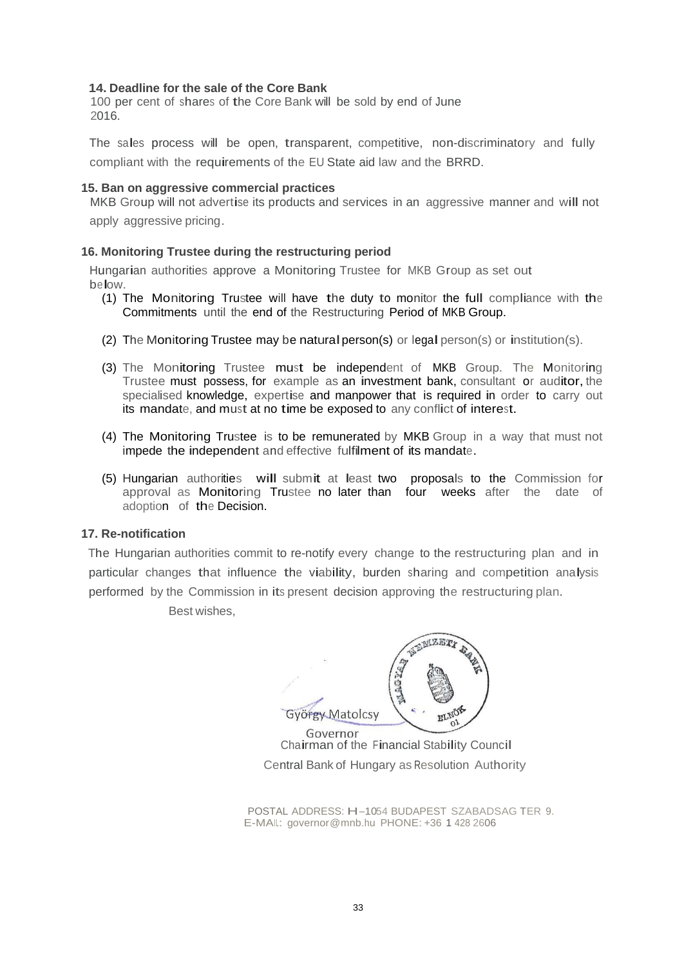#### **14. Deadline for the sale of the Core Bank**

<sup>100</sup> per cent of shares of the Core Bank will be sold by end of June 2016.

The sales process will be open, transparent, competitive, non-discriminatory and fully compliant with the requirements of the EU State aid law and the BRRD.

#### **15. Ban on aggressive commercial practices**

MKB Group will not advertise its products and services in an aggressive manner and will not apply aggressive pricing.

#### **16. Monitoring Trustee during the restructuring period**

Hungarian authorities approve <sup>a</sup> Monitoring Trustee for MKB Group as set out below.

- (1) The Monitoring Trustee will have the duty to monitor the full compliance with the Commitments until the end of the Restructuring Period of MKB Group.
- (2) The Monitoring Trustee may be natural person(s) or legal person(s) or institution(s).
- (3) The Monitoring Trustee must be independent of MKB Group. The Monitoring Trustee must possess, for example as an investment bank, consultant or auditor, the specialised knowledge, expertise and manpower that is required in order to carry out its mandate, and must at no time be exposed to any conflict of interest.
- (4) The Monitoring Trustee is to be remunerated by MKB Group in a way that must not impede the independent and effective fulfilment of its mandate.
- (5) Hungarian authorities will submit at least two proposals to the Commission for approval as Monitoring Trustee no later than four weeks after the date of adoption of the Decision.

#### **17. Re-notification**

The Hungarian authorities commit to re-notify every change to the restructuring plan and in particular changes that influence the viability, burden sharing and competition analysis performed by the Commission in its present decision approving the restructuring plan.

Best wishes,

**BELLET** György Matolcsy

Chairman of the Financial Stability Council Central Bank of Hungary as Resolution Authority

POSTAL ADDRESS: H-1054 BUDAPEST SZABADSAG TER 9. E-MAIL: governor@mnb.hu PHONE: +36 1 428 2606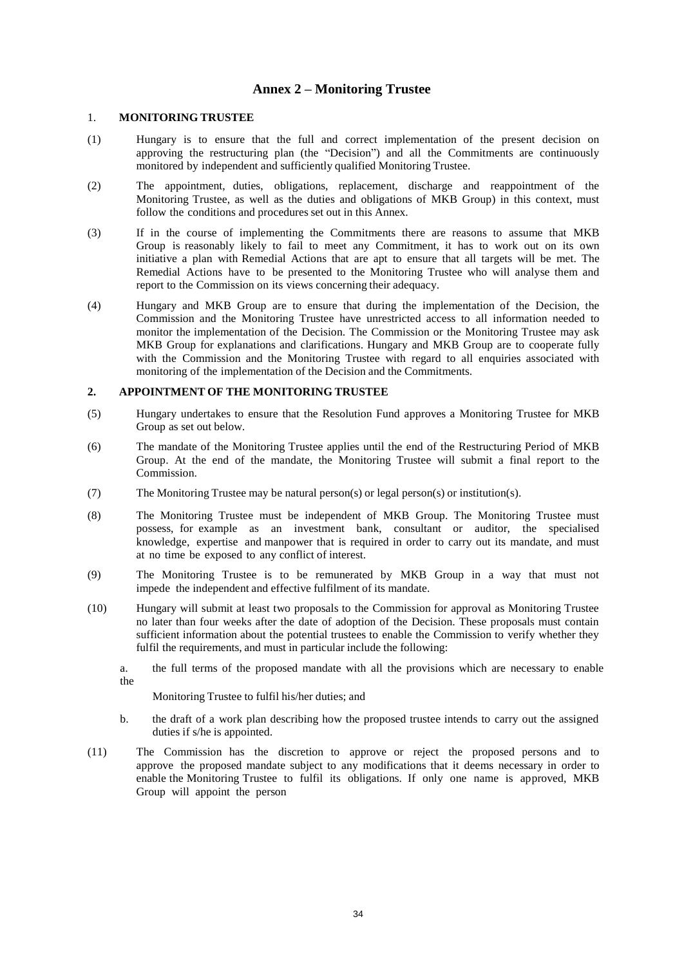# **Annex 2 – Monitoring Trustee**

#### 1. **MONITORING TRUSTEE**

- (1) Hungary is to ensure that the full and correct implementation of the present decision on approving the restructuring plan (the "Decision") and all the Commitments are continuously monitored by independent and sufficiently qualified Monitoring Trustee.
- (2) The appointment, duties, obligations, replacement, discharge and reappointment of the Monitoring Trustee, as well as the duties and obligations of MKB Group) in this context, must follow the conditions and procedures set out in this Annex.
- (3) If in the course of implementing the Commitments there are reasons to assume that MKB Group is reasonably likely to fail to meet any Commitment, it has to work out on its own initiative a plan with Remedial Actions that are apt to ensure that all targets will be met. The Remedial Actions have to be presented to the Monitoring Trustee who will analyse them and report to the Commission on its views concerning their adequacy.
- (4) Hungary and MKB Group are to ensure that during the implementation of the Decision, the Commission and the Monitoring Trustee have unrestricted access to all information needed to monitor the implementation of the Decision. The Commission or the Monitoring Trustee may ask MKB Group for explanations and clarifications. Hungary and MKB Group are to cooperate fully with the Commission and the Monitoring Trustee with regard to all enquiries associated with monitoring of the implementation of the Decision and the Commitments.

#### **2. APPOINTMENT OF THE MONITORING TRUSTEE**

- (5) Hungary undertakes to ensure that the Resolution Fund approves a Monitoring Trustee for MKB Group as set out below.
- (6) The mandate of the Monitoring Trustee applies until the end of the Restructuring Period of MKB Group. At the end of the mandate, the Monitoring Trustee will submit a final report to the Commission.
- (7) The Monitoring Trustee may be natural person(s) or legal person(s) or institution(s).
- (8) The Monitoring Trustee must be independent of MKB Group. The Monitoring Trustee must possess, for example as an investment bank, consultant or auditor, the specialised knowledge, expertise and manpower that is required in order to carry out its mandate, and must at no time be exposed to any conflict of interest.
- (9) The Monitoring Trustee is to be remunerated by MKB Group in a way that must not impede the independent and effective fulfilment of its mandate.
- (10) Hungary will submit at least two proposals to the Commission for approval as Monitoring Trustee no later than four weeks after the date of adoption of the Decision. These proposals must contain sufficient information about the potential trustees to enable the Commission to verify whether they fulfil the requirements, and must in particular include the following:
	- a. the full terms of the proposed mandate with all the provisions which are necessary to enable the

Monitoring Trustee to fulfil his/her duties; and

- b. the draft of a work plan describing how the proposed trustee intends to carry out the assigned duties if s/he is appointed.
- (11) The Commission has the discretion to approve or reject the proposed persons and to approve the proposed mandate subject to any modifications that it deems necessary in order to enable the Monitoring Trustee to fulfil its obligations. If only one name is approved, MKB Group will appoint the person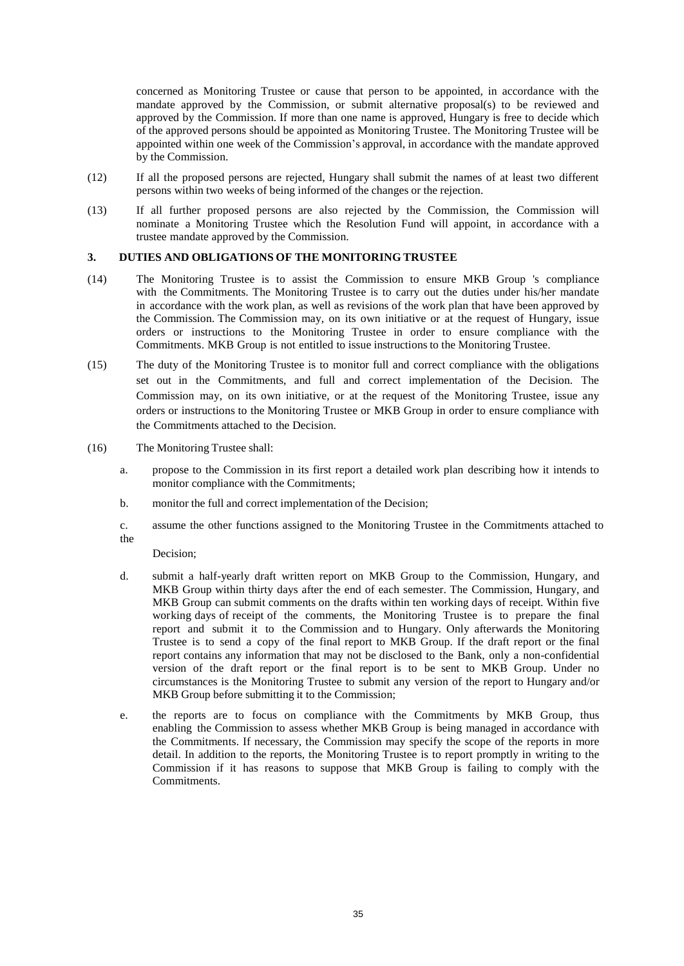concerned as Monitoring Trustee or cause that person to be appointed, in accordance with the mandate approved by the Commission, or submit alternative proposal(s) to be reviewed and approved by the Commission. If more than one name is approved, Hungary is free to decide which of the approved persons should be appointed as Monitoring Trustee. The Monitoring Trustee will be appointed within one week of the Commission's approval, in accordance with the mandate approved by the Commission.

- (12) If all the proposed persons are rejected, Hungary shall submit the names of at least two different persons within two weeks of being informed of the changes or the rejection.
- (13) If all further proposed persons are also rejected by the Commission, the Commission will nominate a Monitoring Trustee which the Resolution Fund will appoint, in accordance with a trustee mandate approved by the Commission.

#### **3. DUTIES AND OBLIGATIONS OF THE MONITORING TRUSTEE**

- (14) The Monitoring Trustee is to assist the Commission to ensure MKB Group 's compliance with the Commitments. The Monitoring Trustee is to carry out the duties under his/her mandate in accordance with the work plan, as well as revisions of the work plan that have been approved by the Commission. The Commission may, on its own initiative or at the request of Hungary, issue orders or instructions to the Monitoring Trustee in order to ensure compliance with the Commitments. MKB Group is not entitled to issue instructions to the Monitoring Trustee.
- (15) The duty of the Monitoring Trustee is to monitor full and correct compliance with the obligations set out in the Commitments, and full and correct implementation of the Decision. The Commission may, on its own initiative, or at the request of the Monitoring Trustee, issue any orders or instructions to the Monitoring Trustee or MKB Group in order to ensure compliance with the Commitments attached to the Decision.
- (16) The Monitoring Trustee shall:
	- a. propose to the Commission in its first report a detailed work plan describing how it intends to monitor compliance with the Commitments;
	- b. monitor the full and correct implementation of the Decision;
	- c. assume the other functions assigned to the Monitoring Trustee in the Commitments attached to the

Decision;

- d. submit a half-yearly draft written report on MKB Group to the Commission, Hungary, and MKB Group within thirty days after the end of each semester. The Commission, Hungary, and MKB Group can submit comments on the drafts within ten working days of receipt. Within five working days of receipt of the comments, the Monitoring Trustee is to prepare the final report and submit it to the Commission and to Hungary. Only afterwards the Monitoring Trustee is to send a copy of the final report to MKB Group. If the draft report or the final report contains any information that may not be disclosed to the Bank, only a non-confidential version of the draft report or the final report is to be sent to MKB Group. Under no circumstances is the Monitoring Trustee to submit any version of the report to Hungary and/or MKB Group before submitting it to the Commission;
- e. the reports are to focus on compliance with the Commitments by MKB Group, thus enabling the Commission to assess whether MKB Group is being managed in accordance with the Commitments. If necessary, the Commission may specify the scope of the reports in more detail. In addition to the reports, the Monitoring Trustee is to report promptly in writing to the Commission if it has reasons to suppose that MKB Group is failing to comply with the Commitments.